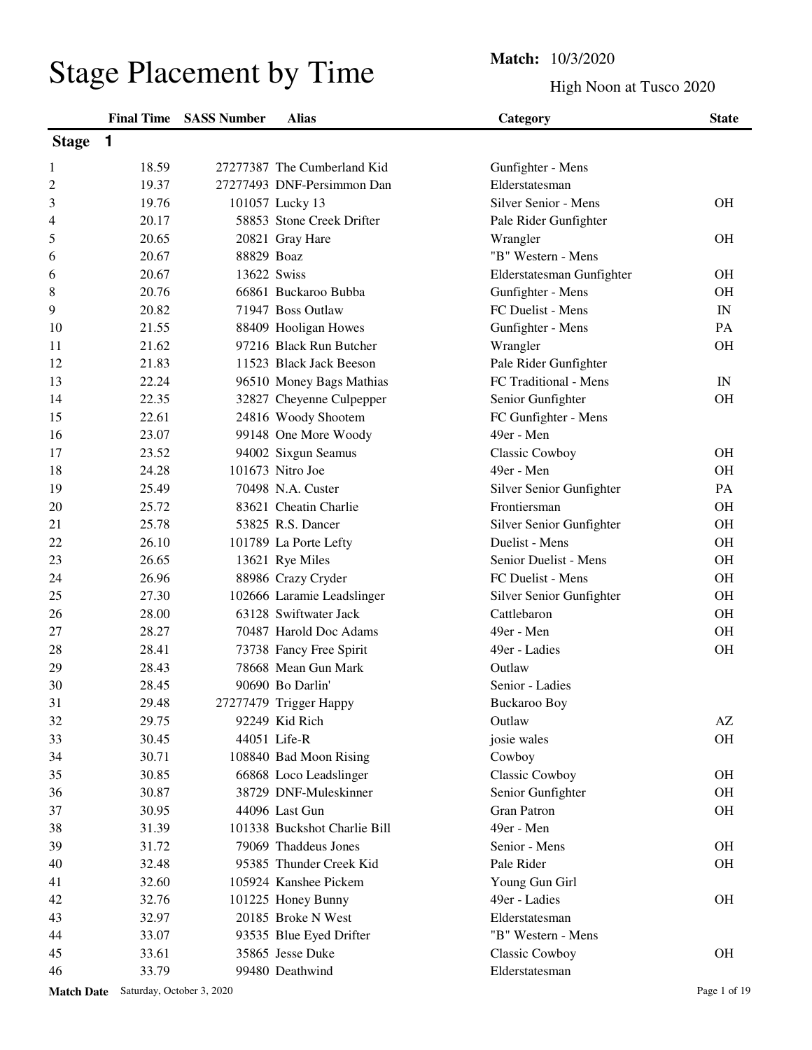# Stage Placement by Time<br>
High Noor

High Noon at Tusco 2020

| <b>Stage</b> | $\overline{\mathbf{1}}$ |             |                              | o                         |                          |
|--------------|-------------------------|-------------|------------------------------|---------------------------|--------------------------|
| 1            | 18.59                   |             | 27277387 The Cumberland Kid  | Gunfighter - Mens         |                          |
| 2            | 19.37                   |             | 27277493 DNF-Persimmon Dan   | Elderstatesman            |                          |
| 3            | 19.76                   |             | 101057 Lucky 13              | Silver Senior - Mens      | <b>OH</b>                |
| 4            | 20.17                   |             | 58853 Stone Creek Drifter    | Pale Rider Gunfighter     |                          |
| 5            | 20.65                   |             | 20821 Gray Hare              | Wrangler                  | <b>OH</b>                |
| 6            | 20.67                   | 88829 Boaz  |                              | "B" Western - Mens        |                          |
| 6            | 20.67                   | 13622 Swiss |                              | Elderstatesman Gunfighter | <b>OH</b>                |
| 8            | 20.76                   |             | 66861 Buckaroo Bubba         | Gunfighter - Mens         | <b>OH</b>                |
| 9            | 20.82                   |             | 71947 Boss Outlaw            | FC Duelist - Mens         | $\ensuremath{\text{IN}}$ |
| 10           | 21.55                   |             | 88409 Hooligan Howes         | Gunfighter - Mens         | PA                       |
| 11           | 21.62                   |             | 97216 Black Run Butcher      | Wrangler                  | <b>OH</b>                |
| 12           | 21.83                   |             | 11523 Black Jack Beeson      | Pale Rider Gunfighter     |                          |
| 13           | 22.24                   |             | 96510 Money Bags Mathias     | FC Traditional - Mens     | $\ensuremath{\text{IN}}$ |
| 14           | 22.35                   |             | 32827 Cheyenne Culpepper     | Senior Gunfighter         | <b>OH</b>                |
| 15           | 22.61                   |             | 24816 Woody Shootem          | FC Gunfighter - Mens      |                          |
| 16           | 23.07                   |             | 99148 One More Woody         | 49er - Men                |                          |
| 17           | 23.52                   |             | 94002 Sixgun Seamus          | Classic Cowboy            | <b>OH</b>                |
| 18           | 24.28                   |             | 101673 Nitro Joe             | 49er - Men                | <b>OH</b>                |
| 19           | 25.49                   |             | 70498 N.A. Custer            | Silver Senior Gunfighter  | PA                       |
| 20           | 25.72                   |             | 83621 Cheatin Charlie        | Frontiersman              | <b>OH</b>                |
| 21           | 25.78                   |             | 53825 R.S. Dancer            | Silver Senior Gunfighter  | <b>OH</b>                |
| 22           | 26.10                   |             | 101789 La Porte Lefty        | Duelist - Mens            | <b>OH</b>                |
| 23           | 26.65                   |             | 13621 Rye Miles              | Senior Duelist - Mens     | <b>OH</b>                |
| 24           | 26.96                   |             | 88986 Crazy Cryder           | FC Duelist - Mens         | <b>OH</b>                |
| 25           | 27.30                   |             | 102666 Laramie Leadslinger   | Silver Senior Gunfighter  | <b>OH</b>                |
| 26           | 28.00                   |             | 63128 Swiftwater Jack        | Cattlebaron               | <b>OH</b>                |
| 27           | 28.27                   |             | 70487 Harold Doc Adams       | 49er - Men                | OH                       |
| 28           | 28.41                   |             | 73738 Fancy Free Spirit      | 49er - Ladies             | <b>OH</b>                |
| 29           | 28.43                   |             | 78668 Mean Gun Mark          | Outlaw                    |                          |
| 30           | 28.45                   |             | 90690 Bo Darlin'             | Senior - Ladies           |                          |
| 31           | 29.48                   |             | 27277479 Trigger Happy       | <b>Buckaroo Boy</b>       |                          |
| 32           | 29.75                   |             | 92249 Kid Rich               | Outlaw                    | $\mathbf{A}\mathbf{Z}$   |
| 33           | 30.45                   |             | 44051 Life-R                 | josie wales               | <b>OH</b>                |
| 34           | 30.71                   |             | 108840 Bad Moon Rising       | Cowboy                    |                          |
| 35           | 30.85                   |             | 66868 Loco Leadslinger       | Classic Cowboy            | <b>OH</b>                |
| 36           | 30.87                   |             | 38729 DNF-Muleskinner        | Senior Gunfighter         | <b>OH</b>                |
| 37           | 30.95                   |             | 44096 Last Gun               | <b>Gran Patron</b>        | <b>OH</b>                |
| 38           | 31.39                   |             | 101338 Buckshot Charlie Bill | 49er - Men                |                          |
| 39           | 31.72                   |             | 79069 Thaddeus Jones         | Senior - Mens             | <b>OH</b>                |
| 40           | 32.48                   |             | 95385 Thunder Creek Kid      | Pale Rider                | <b>OH</b>                |
| 41           | 32.60                   |             | 105924 Kanshee Pickem        | Young Gun Girl            |                          |
| 42           | 32.76                   |             | 101225 Honey Bunny           | 49er - Ladies             | <b>OH</b>                |
| 43           | 32.97                   |             | 20185 Broke N West           | Elderstatesman            |                          |
| 44           | 33.07                   |             | 93535 Blue Eyed Drifter      | "B" Western - Mens        |                          |
| 45           | 33.61                   |             | 35865 Jesse Duke             | <b>Classic Cowboy</b>     | <b>OH</b>                |
| 46           | 33.79                   |             | 99480 Deathwind              | Elderstatesman            |                          |

## **Final Time SASS Number Alias Category Category State**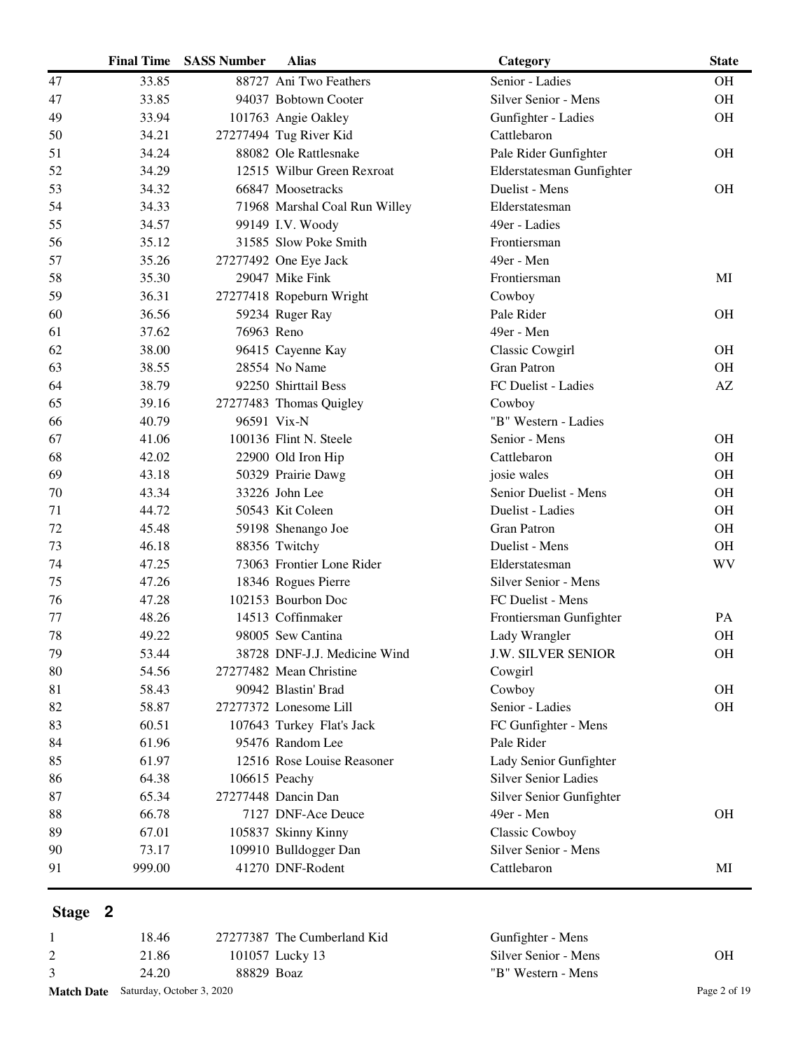|    | <b>Final Time</b> | <b>SASS Number</b> | <b>Alias</b>                  | Category                    | <b>State</b>           |
|----|-------------------|--------------------|-------------------------------|-----------------------------|------------------------|
| 47 | 33.85             |                    | 88727 Ani Two Feathers        | Senior - Ladies             | <b>OH</b>              |
| 47 | 33.85             |                    | 94037 Bobtown Cooter          | Silver Senior - Mens        | OH                     |
| 49 | 33.94             |                    | 101763 Angie Oakley           | Gunfighter - Ladies         | <b>OH</b>              |
| 50 | 34.21             |                    | 27277494 Tug River Kid        | Cattlebaron                 |                        |
| 51 | 34.24             |                    | 88082 Ole Rattlesnake         | Pale Rider Gunfighter       | <b>OH</b>              |
| 52 | 34.29             |                    | 12515 Wilbur Green Rexroat    | Elderstatesman Gunfighter   |                        |
| 53 | 34.32             |                    | 66847 Moosetracks             | Duelist - Mens              | <b>OH</b>              |
| 54 | 34.33             |                    | 71968 Marshal Coal Run Willey | Elderstatesman              |                        |
| 55 | 34.57             |                    | 99149 I.V. Woody              | 49er - Ladies               |                        |
| 56 | 35.12             |                    | 31585 Slow Poke Smith         | Frontiersman                |                        |
| 57 | 35.26             |                    | 27277492 One Eye Jack         | 49er - Men                  |                        |
| 58 | 35.30             |                    | 29047 Mike Fink               | Frontiersman                | MI                     |
| 59 | 36.31             |                    | 27277418 Ropeburn Wright      | Cowboy                      |                        |
| 60 | 36.56             |                    | 59234 Ruger Ray               | Pale Rider                  | <b>OH</b>              |
| 61 | 37.62             | 76963 Reno         |                               | 49er - Men                  |                        |
| 62 | 38.00             |                    | 96415 Cayenne Kay             | Classic Cowgirl             | <b>OH</b>              |
| 63 | 38.55             |                    | 28554 No Name                 | <b>Gran Patron</b>          | <b>OH</b>              |
| 64 | 38.79             |                    | 92250 Shirttail Bess          | FC Duelist - Ladies         | $\mathbf{A}\mathbf{Z}$ |
| 65 | 39.16             |                    | 27277483 Thomas Quigley       | Cowboy                      |                        |
| 66 | 40.79             |                    | 96591 Vix-N                   | "B" Western - Ladies        |                        |
| 67 | 41.06             |                    | 100136 Flint N. Steele        | Senior - Mens               | <b>OH</b>              |
| 68 | 42.02             |                    | 22900 Old Iron Hip            | Cattlebaron                 | <b>OH</b>              |
| 69 | 43.18             |                    | 50329 Prairie Dawg            | josie wales                 | <b>OH</b>              |
| 70 | 43.34             |                    | 33226 John Lee                | Senior Duelist - Mens       | <b>OH</b>              |
| 71 | 44.72             |                    | 50543 Kit Coleen              | Duelist - Ladies            | <b>OH</b>              |
| 72 | 45.48             |                    | 59198 Shenango Joe            | <b>Gran Patron</b>          | OH                     |
| 73 | 46.18             |                    | 88356 Twitchy                 | Duelist - Mens              | OH                     |
| 74 | 47.25             |                    | 73063 Frontier Lone Rider     | Elderstatesman              | WV                     |
| 75 | 47.26             |                    | 18346 Rogues Pierre           | Silver Senior - Mens        |                        |
| 76 | 47.28             |                    | 102153 Bourbon Doc            | FC Duelist - Mens           |                        |
| 77 | 48.26             |                    | 14513 Coffinmaker             | Frontiersman Gunfighter     | PA                     |
| 78 | 49.22             |                    | 98005 Sew Cantina             | Lady Wrangler               | OH                     |
| 79 | 53.44             |                    | 38728 DNF-J.J. Medicine Wind  | <b>J.W. SILVER SENIOR</b>   | <b>OH</b>              |
| 80 | 54.56             |                    | 27277482 Mean Christine       | Cowgirl                     |                        |
| 81 | 58.43             |                    | 90942 Blastin' Brad           | Cowboy                      | <b>OH</b>              |
| 82 | 58.87             |                    | 27277372 Lonesome Lill        | Senior - Ladies             | <b>OH</b>              |
| 83 | 60.51             |                    | 107643 Turkey Flat's Jack     | FC Gunfighter - Mens        |                        |
| 84 | 61.96             |                    | 95476 Random Lee              | Pale Rider                  |                        |
| 85 | 61.97             |                    | 12516 Rose Louise Reasoner    | Lady Senior Gunfighter      |                        |
| 86 | 64.38             |                    | 106615 Peachy                 | <b>Silver Senior Ladies</b> |                        |
| 87 | 65.34             |                    | 27277448 Dancin Dan           | Silver Senior Gunfighter    |                        |
| 88 | 66.78             |                    | 7127 DNF-Ace Deuce            | 49er - Men                  | <b>OH</b>              |
| 89 | 67.01             |                    | 105837 Skinny Kinny           | <b>Classic Cowboy</b>       |                        |
| 90 | 73.17             |                    | 109910 Bulldogger Dan         | Silver Senior - Mens        |                        |
| 91 | 999.00            |                    | 41270 DNF-Rodent              | Cattlebaron                 | MI                     |
|    |                   |                    |                               |                             |                        |

| <b>Match Date</b> Saturday, October 3, 2020 |            |                             |                      | Page 2 of 19 |
|---------------------------------------------|------------|-----------------------------|----------------------|--------------|
| 24.20                                       | 88829 Boaz |                             | "B" Western - Mens   |              |
| 21.86                                       |            | 101057 Lucky 13             | Silver Senior - Mens | OН           |
| 18.46                                       |            | 27277387 The Cumberland Kid | Gunfighter - Mens    |              |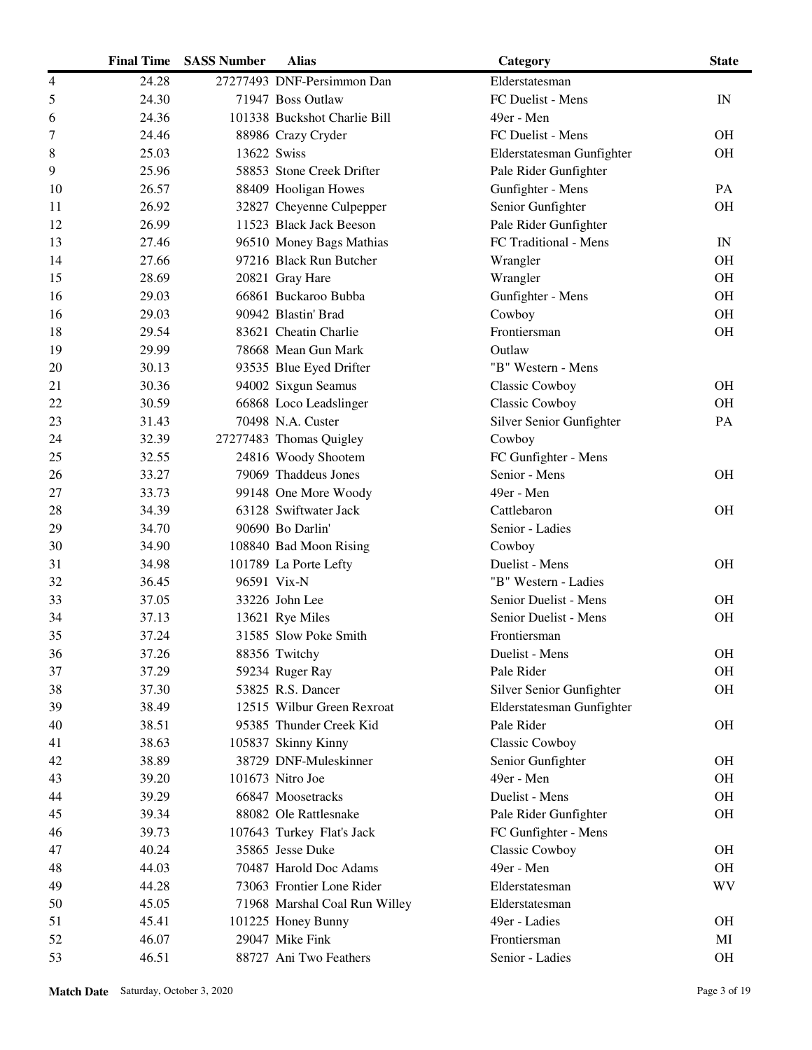|    | <b>Final Time</b> | <b>SASS Number</b> | <b>Alias</b>                  | Category                  | <b>State</b>             |
|----|-------------------|--------------------|-------------------------------|---------------------------|--------------------------|
| 4  | 24.28             |                    | 27277493 DNF-Persimmon Dan    | Elderstatesman            |                          |
| 5  | 24.30             |                    | 71947 Boss Outlaw             | FC Duelist - Mens         | IN                       |
| 6  | 24.36             |                    | 101338 Buckshot Charlie Bill  | 49er - Men                |                          |
| 7  | 24.46             |                    | 88986 Crazy Cryder            | FC Duelist - Mens         | <b>OH</b>                |
| 8  | 25.03             | 13622 Swiss        |                               | Elderstatesman Gunfighter | <b>OH</b>                |
| 9  | 25.96             |                    | 58853 Stone Creek Drifter     | Pale Rider Gunfighter     |                          |
| 10 | 26.57             |                    | 88409 Hooligan Howes          | Gunfighter - Mens         | PA                       |
| 11 | 26.92             |                    | 32827 Cheyenne Culpepper      | Senior Gunfighter         | <b>OH</b>                |
| 12 | 26.99             |                    | 11523 Black Jack Beeson       | Pale Rider Gunfighter     |                          |
| 13 | 27.46             |                    | 96510 Money Bags Mathias      | FC Traditional - Mens     | $\ensuremath{\text{IN}}$ |
| 14 | 27.66             |                    | 97216 Black Run Butcher       | Wrangler                  | <b>OH</b>                |
| 15 | 28.69             |                    | 20821 Gray Hare               | Wrangler                  | <b>OH</b>                |
| 16 | 29.03             |                    | 66861 Buckaroo Bubba          | Gunfighter - Mens         | <b>OH</b>                |
| 16 | 29.03             |                    | 90942 Blastin' Brad           | Cowboy                    | OH                       |
| 18 | 29.54             |                    | 83621 Cheatin Charlie         | Frontiersman              | <b>OH</b>                |
| 19 | 29.99             |                    | 78668 Mean Gun Mark           | Outlaw                    |                          |
| 20 | 30.13             |                    | 93535 Blue Eyed Drifter       | "B" Western - Mens        |                          |
| 21 | 30.36             |                    | 94002 Sixgun Seamus           | Classic Cowboy            | <b>OH</b>                |
| 22 | 30.59             |                    | 66868 Loco Leadslinger        | Classic Cowboy            | <b>OH</b>                |
| 23 | 31.43             |                    | 70498 N.A. Custer             | Silver Senior Gunfighter  | PA                       |
| 24 | 32.39             |                    | 27277483 Thomas Quigley       | Cowboy                    |                          |
| 25 | 32.55             |                    | 24816 Woody Shootem           | FC Gunfighter - Mens      |                          |
| 26 | 33.27             |                    | 79069 Thaddeus Jones          | Senior - Mens             | <b>OH</b>                |
| 27 | 33.73             |                    | 99148 One More Woody          | 49er - Men                |                          |
| 28 | 34.39             |                    | 63128 Swiftwater Jack         | Cattlebaron               | <b>OH</b>                |
| 29 | 34.70             |                    | 90690 Bo Darlin'              | Senior - Ladies           |                          |
| 30 | 34.90             |                    | 108840 Bad Moon Rising        | Cowboy                    |                          |
| 31 | 34.98             |                    | 101789 La Porte Lefty         | Duelist - Mens            | <b>OH</b>                |
| 32 | 36.45             |                    | 96591 Vix-N                   | "B" Western - Ladies      |                          |
| 33 | 37.05             |                    | 33226 John Lee                | Senior Duelist - Mens     | <b>OH</b>                |
| 34 | 37.13             |                    | 13621 Rye Miles               | Senior Duelist - Mens     | <b>OH</b>                |
| 35 | 37.24             |                    | 31585 Slow Poke Smith         | Frontiersman              |                          |
| 36 | 37.26             |                    | 88356 Twitchy                 | Duelist - Mens            | <b>OH</b>                |
| 37 | 37.29             |                    | 59234 Ruger Ray               | Pale Rider                | OH                       |
| 38 | 37.30             |                    | 53825 R.S. Dancer             | Silver Senior Gunfighter  | <b>OH</b>                |
| 39 | 38.49             |                    | 12515 Wilbur Green Rexroat    | Elderstatesman Gunfighter |                          |
| 40 | 38.51             |                    | 95385 Thunder Creek Kid       | Pale Rider                | <b>OH</b>                |
| 41 | 38.63             |                    | 105837 Skinny Kinny           | Classic Cowboy            |                          |
| 42 | 38.89             |                    | 38729 DNF-Muleskinner         | Senior Gunfighter         | <b>OH</b>                |
| 43 | 39.20             |                    | 101673 Nitro Joe              | 49er - Men                | <b>OH</b>                |
| 44 | 39.29             |                    | 66847 Moosetracks             | Duelist - Mens            | <b>OH</b>                |
| 45 | 39.34             |                    | 88082 Ole Rattlesnake         | Pale Rider Gunfighter     | <b>OH</b>                |
| 46 | 39.73             |                    | 107643 Turkey Flat's Jack     | FC Gunfighter - Mens      |                          |
| 47 | 40.24             |                    | 35865 Jesse Duke              | Classic Cowboy            | <b>OH</b>                |
| 48 | 44.03             |                    | 70487 Harold Doc Adams        | 49er - Men                | <b>OH</b>                |
| 49 | 44.28             |                    | 73063 Frontier Lone Rider     | Elderstatesman            | <b>WV</b>                |
| 50 | 45.05             |                    | 71968 Marshal Coal Run Willey | Elderstatesman            |                          |
| 51 | 45.41             |                    | 101225 Honey Bunny            | 49er - Ladies             | <b>OH</b>                |
| 52 | 46.07             |                    | 29047 Mike Fink               | Frontiersman              | MI                       |
| 53 | 46.51             |                    | 88727 Ani Two Feathers        | Senior - Ladies           | OH                       |
|    |                   |                    |                               |                           |                          |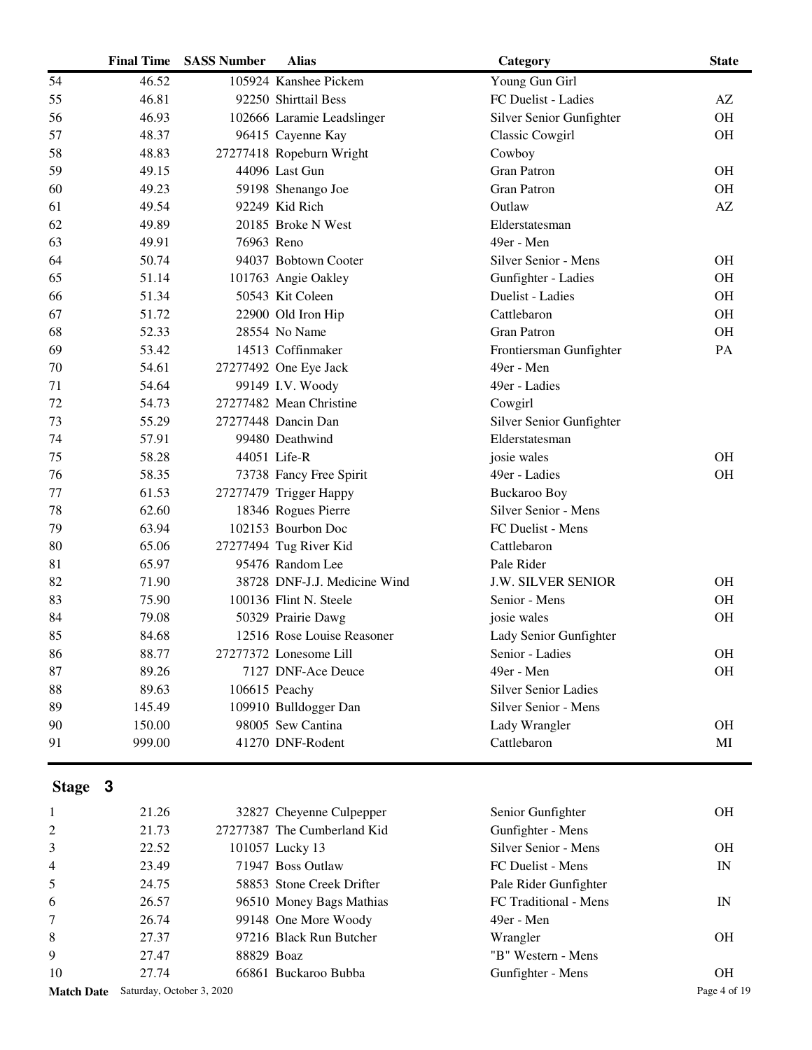|                   | <b>Final Time</b> | <b>SASS Number</b>        | <b>Alias</b>                 | Category                    | <b>State</b>           |
|-------------------|-------------------|---------------------------|------------------------------|-----------------------------|------------------------|
| 54                | 46.52             |                           | 105924 Kanshee Pickem        | Young Gun Girl              |                        |
| 55                | 46.81             |                           | 92250 Shirttail Bess         | FC Duelist - Ladies         | AZ                     |
| 56                | 46.93             |                           | 102666 Laramie Leadslinger   | Silver Senior Gunfighter    | <b>OH</b>              |
| 57                | 48.37             |                           | 96415 Cayenne Kay            | Classic Cowgirl             | <b>OH</b>              |
| 58                | 48.83             |                           | 27277418 Ropeburn Wright     | Cowboy                      |                        |
| 59                | 49.15             |                           | 44096 Last Gun               | <b>Gran Patron</b>          | <b>OH</b>              |
| 60                | 49.23             |                           | 59198 Shenango Joe           | <b>Gran Patron</b>          | <b>OH</b>              |
| 61                | 49.54             |                           | 92249 Kid Rich               | Outlaw                      | AZ                     |
| 62                | 49.89             |                           | 20185 Broke N West           | Elderstatesman              |                        |
| 63                | 49.91             | 76963 Reno                |                              | 49er - Men                  |                        |
| 64                | 50.74             |                           | 94037 Bobtown Cooter         | Silver Senior - Mens        | <b>OH</b>              |
| 65                | 51.14             |                           | 101763 Angie Oakley          | Gunfighter - Ladies         | <b>OH</b>              |
| 66                | 51.34             |                           | 50543 Kit Coleen             | Duelist - Ladies            | <b>OH</b>              |
| 67                | 51.72             |                           | 22900 Old Iron Hip           | Cattlebaron                 | OH                     |
| 68                | 52.33             |                           | 28554 No Name                | <b>Gran Patron</b>          | <b>OH</b>              |
| 69                | 53.42             |                           | 14513 Coffinmaker            | Frontiersman Gunfighter     | PA                     |
| 70                | 54.61             |                           | 27277492 One Eye Jack        | 49er - Men                  |                        |
| 71                | 54.64             |                           | 99149 I.V. Woody             | 49er - Ladies               |                        |
| 72                | 54.73             |                           | 27277482 Mean Christine      | Cowgirl                     |                        |
| 73                | 55.29             |                           | 27277448 Dancin Dan          | Silver Senior Gunfighter    |                        |
| 74                | 57.91             |                           | 99480 Deathwind              | Elderstatesman              |                        |
| 75                | 58.28             |                           | 44051 Life-R                 | josie wales                 | <b>OH</b>              |
| 76                | 58.35             |                           | 73738 Fancy Free Spirit      | 49er - Ladies               | <b>OH</b>              |
| 77                | 61.53             |                           | 27277479 Trigger Happy       | <b>Buckaroo Boy</b>         |                        |
| 78                | 62.60             |                           | 18346 Rogues Pierre          | Silver Senior - Mens        |                        |
| 79                | 63.94             |                           | 102153 Bourbon Doc           | FC Duelist - Mens           |                        |
| 80                | 65.06             |                           | 27277494 Tug River Kid       | Cattlebaron                 |                        |
| 81                | 65.97             |                           | 95476 Random Lee             | Pale Rider                  |                        |
| 82                | 71.90             |                           | 38728 DNF-J.J. Medicine Wind | <b>J.W. SILVER SENIOR</b>   | <b>OH</b>              |
| 83                | 75.90             |                           | 100136 Flint N. Steele       | Senior - Mens               | OH                     |
| 84                | 79.08             |                           | 50329 Prairie Dawg           | josie wales                 | <b>OH</b>              |
| 85                | 84.68             |                           | 12516 Rose Louise Reasoner   | Lady Senior Gunfighter      |                        |
| 86                | 88.77             |                           | 27277372 Lonesome Lill       | Senior - Ladies             | <b>OH</b>              |
| 87                | 89.26             |                           | 7127 DNF-Ace Deuce           | 49er - Men                  | <b>OH</b>              |
| 88                | 89.63             |                           | 106615 Peachy                | <b>Silver Senior Ladies</b> |                        |
| 89                | 145.49            |                           | 109910 Bulldogger Dan        | Silver Senior - Mens        |                        |
| 90                | 150.00            |                           | 98005 Sew Cantina            | Lady Wrangler               | <b>OH</b>              |
| 91                | 999.00            |                           | 41270 DNF-Rodent             | Cattlebaron                 | $\mathbf{M}\mathbf{I}$ |
| Stage 3           |                   |                           |                              |                             |                        |
| 1                 | 21.26             |                           | 32827 Cheyenne Culpepper     | Senior Gunfighter           | <b>OH</b>              |
| $\overline{c}$    | 21.73             |                           | 27277387 The Cumberland Kid  | Gunfighter - Mens           |                        |
| 3                 | 22.52             |                           | 101057 Lucky 13              | Silver Senior - Mens        | <b>OH</b>              |
| 4                 | 23.49             |                           | 71947 Boss Outlaw            | FC Duelist - Mens           | IN                     |
| 5                 | 24.75             |                           | 58853 Stone Creek Drifter    | Pale Rider Gunfighter       |                        |
| 6                 | 26.57             |                           | 96510 Money Bags Mathias     | FC Traditional - Mens       | IN                     |
| 7                 | 26.74             |                           | 99148 One More Woody         | 49er - Men                  |                        |
| 8                 | 27.37             |                           | 97216 Black Run Butcher      | Wrangler                    | <b>OH</b>              |
| 9                 | 27.47             | 88829 Boaz                |                              | "B" Western - Mens          |                        |
| 10                | 27.74             |                           | 66861 Buckaroo Bubba         | Gunfighter - Mens           | <b>OH</b>              |
| <b>Match Date</b> |                   | Saturday, October 3, 2020 |                              |                             | Page 4 of 19           |
|                   |                   |                           |                              |                             |                        |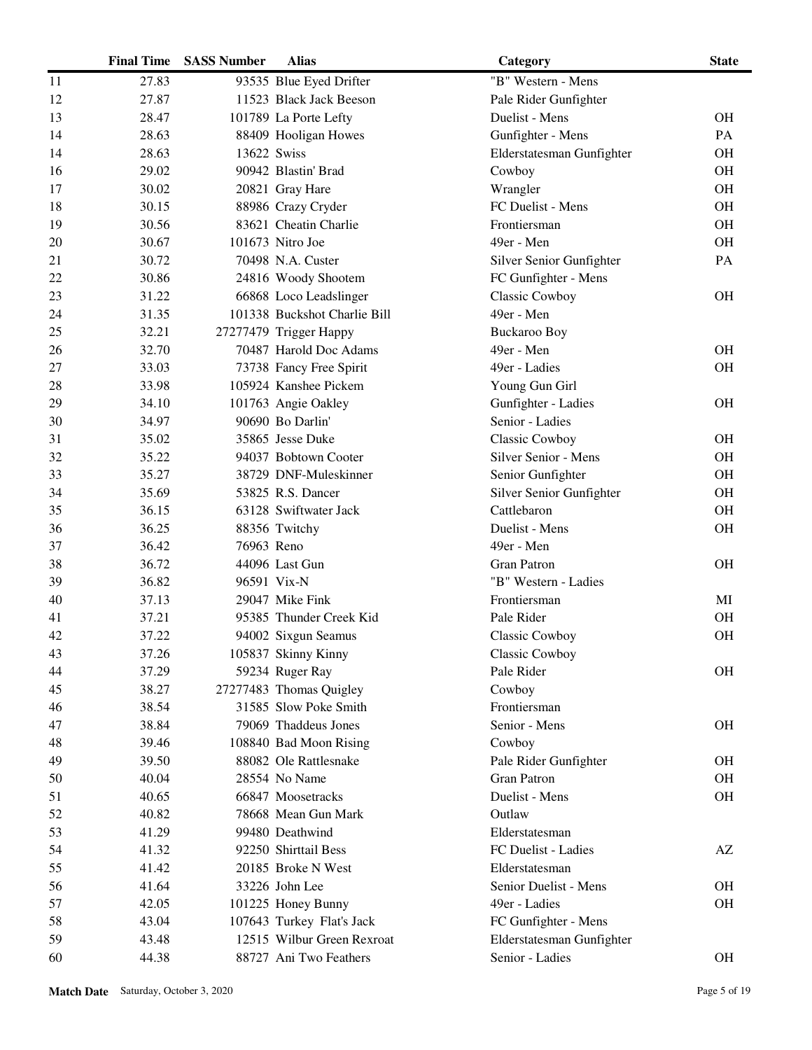|    | <b>Final Time</b> | <b>SASS Number</b> | <b>Alias</b>                 | Category                  | <b>State</b> |
|----|-------------------|--------------------|------------------------------|---------------------------|--------------|
| 11 | 27.83             |                    | 93535 Blue Eyed Drifter      | "B" Western - Mens        |              |
| 12 | 27.87             |                    | 11523 Black Jack Beeson      | Pale Rider Gunfighter     |              |
| 13 | 28.47             |                    | 101789 La Porte Lefty        | Duelist - Mens            | <b>OH</b>    |
| 14 | 28.63             |                    | 88409 Hooligan Howes         | Gunfighter - Mens         | PA           |
| 14 | 28.63             | 13622 Swiss        |                              | Elderstatesman Gunfighter | <b>OH</b>    |
| 16 | 29.02             |                    | 90942 Blastin' Brad          | Cowboy                    | <b>OH</b>    |
| 17 | 30.02             |                    | 20821 Gray Hare              | Wrangler                  | <b>OH</b>    |
| 18 | 30.15             |                    | 88986 Crazy Cryder           | FC Duelist - Mens         | <b>OH</b>    |
| 19 | 30.56             |                    | 83621 Cheatin Charlie        | Frontiersman              | <b>OH</b>    |
| 20 | 30.67             |                    | 101673 Nitro Joe             | 49er - Men                | OH           |
| 21 | 30.72             |                    | 70498 N.A. Custer            | Silver Senior Gunfighter  | PA           |
| 22 | 30.86             |                    | 24816 Woody Shootem          | FC Gunfighter - Mens      |              |
| 23 | 31.22             |                    | 66868 Loco Leadslinger       | <b>Classic Cowboy</b>     | <b>OH</b>    |
| 24 | 31.35             |                    | 101338 Buckshot Charlie Bill | 49er - Men                |              |
| 25 | 32.21             |                    | 27277479 Trigger Happy       | <b>Buckaroo Boy</b>       |              |
| 26 | 32.70             |                    | 70487 Harold Doc Adams       | 49er - Men                | <b>OH</b>    |
| 27 | 33.03             |                    | 73738 Fancy Free Spirit      | 49er - Ladies             | <b>OH</b>    |
| 28 | 33.98             |                    | 105924 Kanshee Pickem        | Young Gun Girl            |              |
| 29 | 34.10             |                    | 101763 Angie Oakley          | Gunfighter - Ladies       | <b>OH</b>    |
| 30 | 34.97             |                    | 90690 Bo Darlin'             | Senior - Ladies           |              |
| 31 | 35.02             |                    | 35865 Jesse Duke             | Classic Cowboy            | <b>OH</b>    |
| 32 | 35.22             |                    | 94037 Bobtown Cooter         | Silver Senior - Mens      | <b>OH</b>    |
| 33 | 35.27             |                    | 38729 DNF-Muleskinner        | Senior Gunfighter         | <b>OH</b>    |
| 34 | 35.69             |                    | 53825 R.S. Dancer            | Silver Senior Gunfighter  | <b>OH</b>    |
| 35 | 36.15             |                    | 63128 Swiftwater Jack        | Cattlebaron               | <b>OH</b>    |
| 36 | 36.25             |                    | 88356 Twitchy                | Duelist - Mens            | $\rm OH$     |
| 37 | 36.42             | 76963 Reno         |                              | 49er - Men                |              |
| 38 | 36.72             |                    | 44096 Last Gun               | <b>Gran Patron</b>        | <b>OH</b>    |
| 39 | 36.82             |                    | 96591 Vix-N                  | "B" Western - Ladies      |              |
| 40 | 37.13             |                    | 29047 Mike Fink              | Frontiersman              | MI           |
| 41 | 37.21             |                    | 95385 Thunder Creek Kid      | Pale Rider                | <b>OH</b>    |
| 42 | 37.22             |                    | 94002 Sixgun Seamus          | Classic Cowboy            | OH           |
| 43 | 37.26             |                    | 105837 Skinny Kinny          | <b>Classic Cowboy</b>     |              |
| 44 | 37.29             |                    | 59234 Ruger Ray              | Pale Rider                | OH           |
| 45 | 38.27             |                    | 27277483 Thomas Quigley      | Cowboy                    |              |
| 46 | 38.54             |                    | 31585 Slow Poke Smith        | Frontiersman              |              |
| 47 | 38.84             |                    | 79069 Thaddeus Jones         | Senior - Mens             | <b>OH</b>    |
| 48 | 39.46             |                    | 108840 Bad Moon Rising       | Cowboy                    |              |
| 49 | 39.50             |                    | 88082 Ole Rattlesnake        | Pale Rider Gunfighter     | <b>OH</b>    |
| 50 | 40.04             |                    | 28554 No Name                | <b>Gran Patron</b>        | <b>OH</b>    |
| 51 | 40.65             |                    | 66847 Moosetracks            | Duelist - Mens            | <b>OH</b>    |
| 52 | 40.82             |                    | 78668 Mean Gun Mark          | Outlaw                    |              |
| 53 | 41.29             |                    | 99480 Deathwind              | Elderstatesman            |              |
| 54 | 41.32             |                    | 92250 Shirttail Bess         | FC Duelist - Ladies       | AZ           |
| 55 | 41.42             |                    | 20185 Broke N West           | Elderstatesman            |              |
| 56 | 41.64             |                    | 33226 John Lee               | Senior Duelist - Mens     | <b>OH</b>    |
| 57 | 42.05             |                    | 101225 Honey Bunny           | 49er - Ladies             | OH           |
| 58 | 43.04             |                    | 107643 Turkey Flat's Jack    | FC Gunfighter - Mens      |              |
| 59 | 43.48             |                    | 12515 Wilbur Green Rexroat   | Elderstatesman Gunfighter |              |
| 60 | 44.38             |                    | 88727 Ani Two Feathers       | Senior - Ladies           | <b>OH</b>    |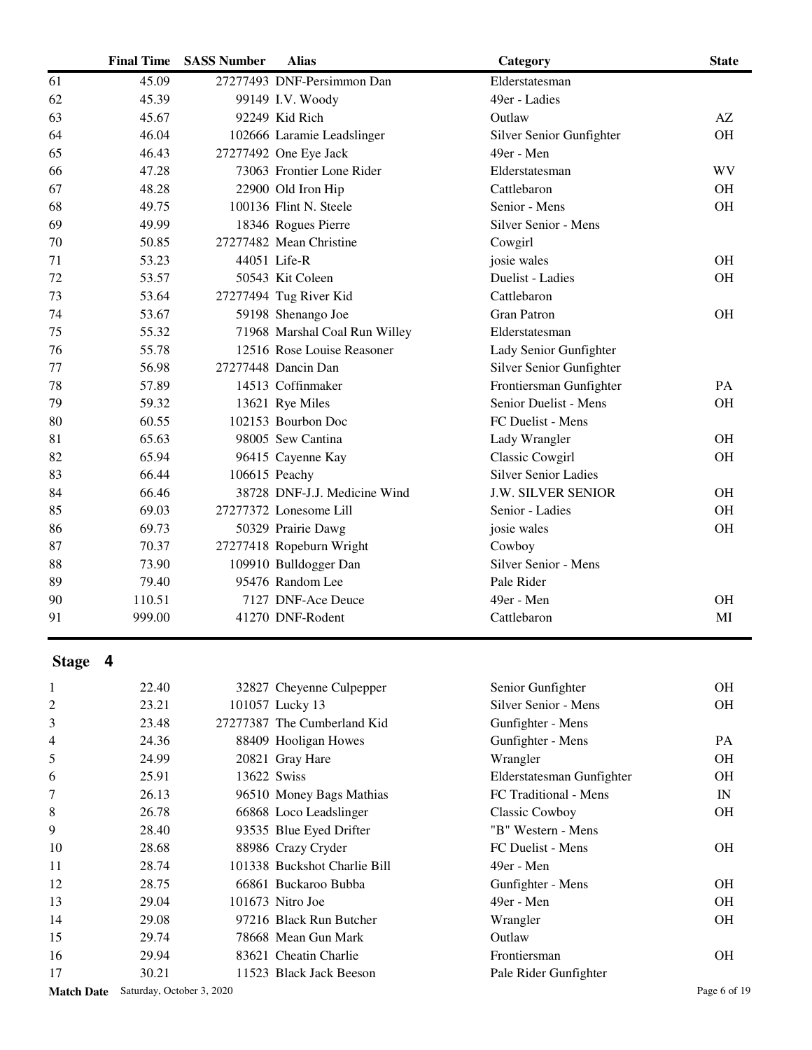|    | <b>Final Time</b> | <b>SASS Number</b> | <b>Alias</b>                  | Category                    | <b>State</b> |
|----|-------------------|--------------------|-------------------------------|-----------------------------|--------------|
| 61 | 45.09             |                    | 27277493 DNF-Persimmon Dan    | Elderstatesman              |              |
| 62 | 45.39             |                    | 99149 I.V. Woody              | 49er - Ladies               |              |
| 63 | 45.67             |                    | 92249 Kid Rich                | Outlaw                      | AZ           |
| 64 | 46.04             |                    | 102666 Laramie Leadslinger    | Silver Senior Gunfighter    | <b>OH</b>    |
| 65 | 46.43             |                    | 27277492 One Eye Jack         | 49er - Men                  |              |
| 66 | 47.28             |                    | 73063 Frontier Lone Rider     | Elderstatesman              | <b>WV</b>    |
| 67 | 48.28             |                    | 22900 Old Iron Hip            | Cattlebaron                 | <b>OH</b>    |
| 68 | 49.75             |                    | 100136 Flint N. Steele        | Senior - Mens               | OH           |
| 69 | 49.99             |                    | 18346 Rogues Pierre           | Silver Senior - Mens        |              |
| 70 | 50.85             |                    | 27277482 Mean Christine       | Cowgirl                     |              |
| 71 | 53.23             |                    | 44051 Life-R                  | josie wales                 | <b>OH</b>    |
| 72 | 53.57             |                    | 50543 Kit Coleen              | Duelist - Ladies            | OH           |
| 73 | 53.64             |                    | 27277494 Tug River Kid        | Cattlebaron                 |              |
| 74 | 53.67             |                    | 59198 Shenango Joe            | <b>Gran Patron</b>          | <b>OH</b>    |
| 75 | 55.32             |                    | 71968 Marshal Coal Run Willey | Elderstatesman              |              |
| 76 | 55.78             |                    | 12516 Rose Louise Reasoner    | Lady Senior Gunfighter      |              |
| 77 | 56.98             |                    | 27277448 Dancin Dan           | Silver Senior Gunfighter    |              |
| 78 | 57.89             |                    | 14513 Coffinmaker             | Frontiersman Gunfighter     | PA           |
| 79 | 59.32             |                    | 13621 Rye Miles               | Senior Duelist - Mens       | <b>OH</b>    |
| 80 | 60.55             |                    | 102153 Bourbon Doc            | FC Duelist - Mens           |              |
| 81 | 65.63             |                    | 98005 Sew Cantina             | Lady Wrangler               | <b>OH</b>    |
| 82 | 65.94             |                    | 96415 Cayenne Kay             | Classic Cowgirl             | <b>OH</b>    |
| 83 | 66.44             |                    | 106615 Peachy                 | <b>Silver Senior Ladies</b> |              |
| 84 | 66.46             |                    | 38728 DNF-J.J. Medicine Wind  | <b>J.W. SILVER SENIOR</b>   | <b>OH</b>    |
| 85 | 69.03             |                    | 27277372 Lonesome Lill        | Senior - Ladies             | OH           |
| 86 | 69.73             |                    | 50329 Prairie Dawg            | josie wales                 | OH           |
| 87 | 70.37             |                    | 27277418 Ropeburn Wright      | Cowboy                      |              |
| 88 | 73.90             |                    | 109910 Bulldogger Dan         | Silver Senior - Mens        |              |
| 89 | 79.40             |                    | 95476 Random Lee              | Pale Rider                  |              |
| 90 | 110.51            |                    | 7127 DNF-Ace Deuce            | 49er - Men                  | <b>OH</b>    |
| 91 | 999.00            |                    | 41270 DNF-Rodent              | Cattlebaron                 | MI           |

| 1              | 22.40 |             | 32827 Cheyenne Culpepper     | Senior Gunfighter         | <b>OH</b> |
|----------------|-------|-------------|------------------------------|---------------------------|-----------|
| $\overline{c}$ | 23.21 |             | 101057 Lucky 13              | Silver Senior - Mens      | <b>OH</b> |
| 3              | 23.48 |             | 27277387 The Cumberland Kid  | Gunfighter - Mens         |           |
| 4              | 24.36 |             | 88409 Hooligan Howes         | Gunfighter - Mens         | <b>PA</b> |
| 5              | 24.99 |             | 20821 Gray Hare              | Wrangler                  | <b>OH</b> |
| 6              | 25.91 | 13622 Swiss |                              | Elderstatesman Gunfighter | <b>OH</b> |
| 7              | 26.13 |             | 96510 Money Bags Mathias     | FC Traditional - Mens     | IN        |
| 8              | 26.78 |             | 66868 Loco Leadslinger       | Classic Cowboy            | <b>OH</b> |
| 9              | 28.40 |             | 93535 Blue Eyed Drifter      | "B" Western - Mens        |           |
| 10             | 28.68 |             | 88986 Crazy Cryder           | FC Duelist - Mens         | <b>OH</b> |
| 11             | 28.74 |             | 101338 Buckshot Charlie Bill | 49er - Men                |           |
| 12             | 28.75 |             | 66861 Buckaroo Bubba         | Gunfighter - Mens         | <b>OH</b> |
| 13             | 29.04 |             | $101673$ Nitro Joe           | 49er - Men                | <b>OH</b> |
| 14             | 29.08 |             | 97216 Black Run Butcher      | Wrangler                  | <b>OH</b> |
| 15             | 29.74 |             | 78668 Mean Gun Mark          | Outlaw                    |           |
| 16             | 29.94 |             | 83621 Cheatin Charlie        | Frontiersman              | <b>OH</b> |
| 17             | 30.21 |             | 11523 Black Jack Beeson      | Pale Rider Gunfighter     |           |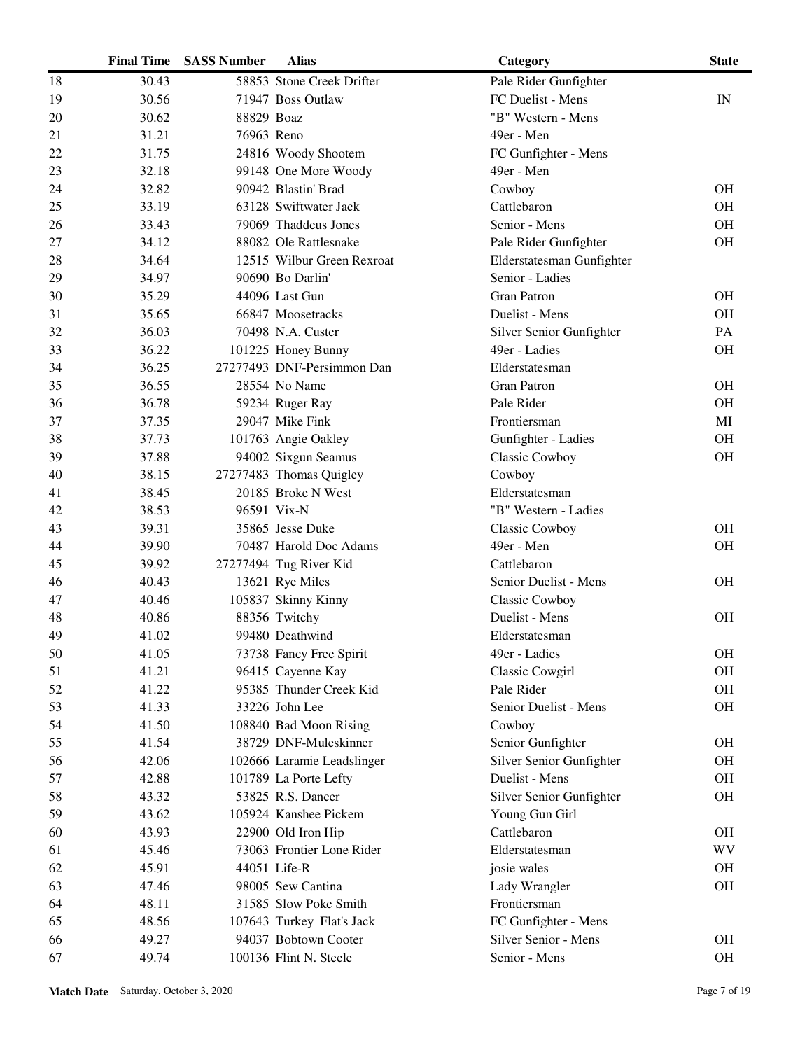|    | <b>Final Time</b> | <b>SASS Number</b> | <b>Alias</b>               | Category                  | <b>State</b> |
|----|-------------------|--------------------|----------------------------|---------------------------|--------------|
| 18 | 30.43             |                    | 58853 Stone Creek Drifter  | Pale Rider Gunfighter     |              |
| 19 | 30.56             |                    | 71947 Boss Outlaw          | FC Duelist - Mens         | IN           |
| 20 | 30.62             | 88829 Boaz         |                            | "B" Western - Mens        |              |
| 21 | 31.21             | 76963 Reno         |                            | 49er - Men                |              |
| 22 | 31.75             |                    | 24816 Woody Shootem        | FC Gunfighter - Mens      |              |
| 23 | 32.18             |                    | 99148 One More Woody       | 49er - Men                |              |
| 24 | 32.82             |                    | 90942 Blastin' Brad        | Cowboy                    | <b>OH</b>    |
| 25 | 33.19             |                    | 63128 Swiftwater Jack      | Cattlebaron               | <b>OH</b>    |
| 26 | 33.43             |                    | 79069 Thaddeus Jones       | Senior - Mens             | <b>OH</b>    |
| 27 | 34.12             |                    | 88082 Ole Rattlesnake      | Pale Rider Gunfighter     | OH           |
| 28 | 34.64             |                    | 12515 Wilbur Green Rexroat | Elderstatesman Gunfighter |              |
| 29 | 34.97             |                    | 90690 Bo Darlin'           | Senior - Ladies           |              |
| 30 | 35.29             |                    | 44096 Last Gun             | <b>Gran Patron</b>        | <b>OH</b>    |
| 31 | 35.65             |                    | 66847 Moosetracks          | Duelist - Mens            | <b>OH</b>    |
| 32 | 36.03             |                    | 70498 N.A. Custer          | Silver Senior Gunfighter  | PA           |
| 33 | 36.22             |                    | 101225 Honey Bunny         | 49er - Ladies             | <b>OH</b>    |
| 34 | 36.25             |                    | 27277493 DNF-Persimmon Dan | Elderstatesman            |              |
| 35 | 36.55             |                    | 28554 No Name              | <b>Gran Patron</b>        | <b>OH</b>    |
| 36 | 36.78             |                    | 59234 Ruger Ray            | Pale Rider                | <b>OH</b>    |
| 37 | 37.35             |                    | 29047 Mike Fink            | Frontiersman              | MI           |
| 38 | 37.73             |                    | 101763 Angie Oakley        | Gunfighter - Ladies       | <b>OH</b>    |
| 39 | 37.88             |                    | 94002 Sixgun Seamus        | Classic Cowboy            | OH           |
| 40 | 38.15             |                    | 27277483 Thomas Quigley    | Cowboy                    |              |
| 41 | 38.45             |                    | 20185 Broke N West         | Elderstatesman            |              |
| 42 | 38.53             |                    | 96591 Vix-N                | "B" Western - Ladies      |              |
| 43 | 39.31             |                    | 35865 Jesse Duke           | Classic Cowboy            | <b>OH</b>    |
| 44 | 39.90             |                    | 70487 Harold Doc Adams     | 49er - Men                | <b>OH</b>    |
| 45 | 39.92             |                    | 27277494 Tug River Kid     | Cattlebaron               |              |
| 46 | 40.43             |                    | 13621 Rye Miles            | Senior Duelist - Mens     | <b>OH</b>    |
| 47 | 40.46             |                    | 105837 Skinny Kinny        | <b>Classic Cowboy</b>     |              |
| 48 | 40.86             |                    | 88356 Twitchy              | Duelist - Mens            | <b>OH</b>    |
| 49 | 41.02             |                    | 99480 Deathwind            | Elderstatesman            |              |
| 50 | 41.05             |                    | 73738 Fancy Free Spirit    | 49er - Ladies             | <b>OH</b>    |
| 51 | 41.21             |                    | 96415 Cayenne Kay          | <b>Classic Cowgirl</b>    | <b>OH</b>    |
| 52 | 41.22             |                    | 95385 Thunder Creek Kid    | Pale Rider                | <b>OH</b>    |
| 53 | 41.33             |                    | 33226 John Lee             | Senior Duelist - Mens     | <b>OH</b>    |
| 54 | 41.50             |                    | 108840 Bad Moon Rising     | Cowboy                    |              |
| 55 | 41.54             |                    | 38729 DNF-Muleskinner      | Senior Gunfighter         | <b>OH</b>    |
| 56 | 42.06             |                    | 102666 Laramie Leadslinger | Silver Senior Gunfighter  | <b>OH</b>    |
| 57 | 42.88             |                    | 101789 La Porte Lefty      | Duelist - Mens            | <b>OH</b>    |
| 58 | 43.32             |                    | 53825 R.S. Dancer          | Silver Senior Gunfighter  | <b>OH</b>    |
| 59 | 43.62             |                    | 105924 Kanshee Pickem      | Young Gun Girl            |              |
| 60 | 43.93             |                    | 22900 Old Iron Hip         | Cattlebaron               | <b>OH</b>    |
| 61 | 45.46             |                    | 73063 Frontier Lone Rider  | Elderstatesman            | WV           |
| 62 | 45.91             |                    | 44051 Life-R               | josie wales               | <b>OH</b>    |
| 63 | 47.46             |                    | 98005 Sew Cantina          | Lady Wrangler             | <b>OH</b>    |
| 64 | 48.11             |                    | 31585 Slow Poke Smith      | Frontiersman              |              |
| 65 | 48.56             |                    | 107643 Turkey Flat's Jack  | FC Gunfighter - Mens      |              |
| 66 | 49.27             |                    | 94037 Bobtown Cooter       | Silver Senior - Mens      | <b>OH</b>    |
| 67 | 49.74             |                    | 100136 Flint N. Steele     | Senior - Mens             | OH           |
|    |                   |                    |                            |                           |              |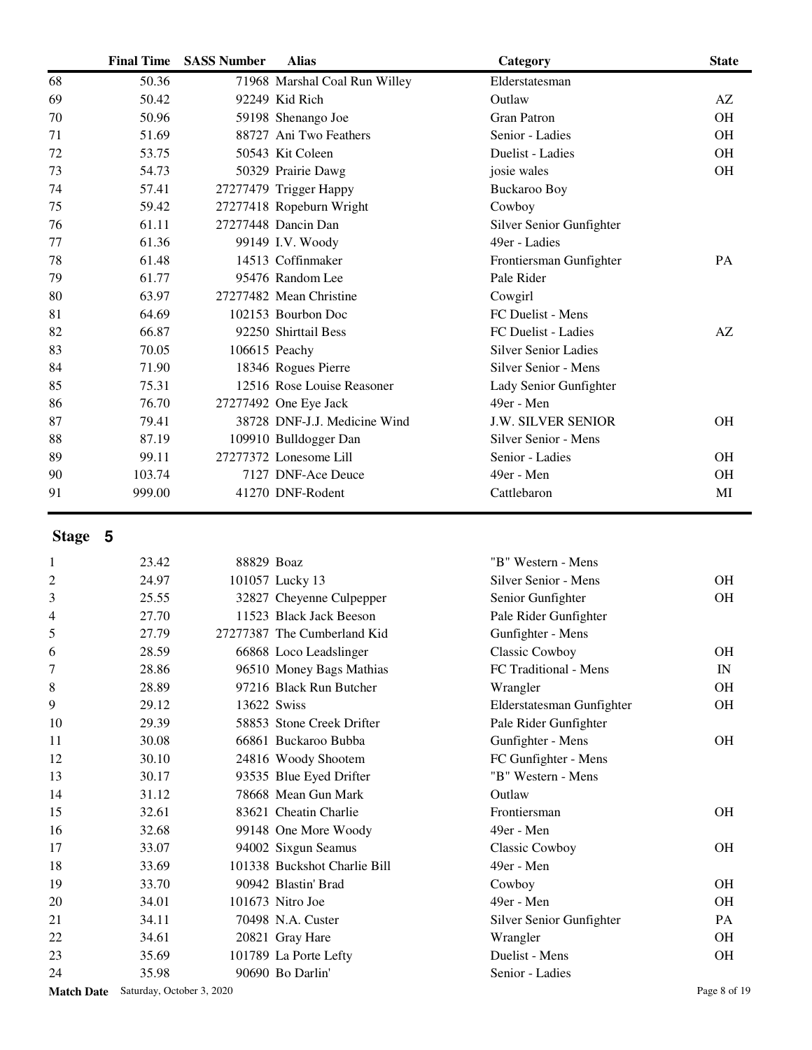|    | <b>Final Time</b> | <b>SASS Number</b> | <b>Alias</b>                  | Category                    | <b>State</b> |
|----|-------------------|--------------------|-------------------------------|-----------------------------|--------------|
| 68 | 50.36             |                    | 71968 Marshal Coal Run Willey | Elderstatesman              |              |
| 69 | 50.42             |                    | 92249 Kid Rich                | Outlaw                      | AZ           |
| 70 | 50.96             |                    | 59198 Shenango Joe            | <b>Gran Patron</b>          | <b>OH</b>    |
| 71 | 51.69             |                    | 88727 Ani Two Feathers        | Senior - Ladies             | <b>OH</b>    |
| 72 | 53.75             |                    | 50543 Kit Coleen              | Duelist - Ladies            | <b>OH</b>    |
| 73 | 54.73             |                    | 50329 Prairie Dawg            | josie wales                 | <b>OH</b>    |
| 74 | 57.41             |                    | 27277479 Trigger Happy        | <b>Buckaroo Boy</b>         |              |
| 75 | 59.42             |                    | 27277418 Ropeburn Wright      | Cowboy                      |              |
| 76 | 61.11             |                    | 27277448 Dancin Dan           | Silver Senior Gunfighter    |              |
| 77 | 61.36             |                    | 99149 I.V. Woody              | 49er - Ladies               |              |
| 78 | 61.48             |                    | 14513 Coffinmaker             | Frontiersman Gunfighter     | PA           |
| 79 | 61.77             |                    | 95476 Random Lee              | Pale Rider                  |              |
| 80 | 63.97             |                    | 27277482 Mean Christine       | Cowgirl                     |              |
| 81 | 64.69             |                    | 102153 Bourbon Doc            | <b>FC</b> Duelist - Mens    |              |
| 82 | 66.87             |                    | 92250 Shirttail Bess          | FC Duelist - Ladies         | AZ           |
| 83 | 70.05             |                    | 106615 Peachy                 | <b>Silver Senior Ladies</b> |              |
| 84 | 71.90             |                    | 18346 Rogues Pierre           | Silver Senior - Mens        |              |
| 85 | 75.31             |                    | 12516 Rose Louise Reasoner    | Lady Senior Gunfighter      |              |
| 86 | 76.70             |                    | 27277492 One Eye Jack         | 49er - Men                  |              |
| 87 | 79.41             |                    | 38728 DNF-J.J. Medicine Wind  | <b>J.W. SILVER SENIOR</b>   | <b>OH</b>    |
| 88 | 87.19             |                    | 109910 Bulldogger Dan         | Silver Senior - Mens        |              |
| 89 | 99.11             |                    | 27277372 Lonesome Lill        | Senior - Ladies             | <b>OH</b>    |
| 90 | 103.74            |                    | 7127 DNF-Ace Deuce            | 49er - Men                  | <b>OH</b>    |
| 91 | 999.00            |                    | 41270 DNF-Rodent              | Cattlebaron                 | MI           |

| 1  | 23.42 | 88829 Boaz  |                              | "B" Western - Mens        |           |
|----|-------|-------------|------------------------------|---------------------------|-----------|
| 2  | 24.97 |             | 101057 Lucky 13              | Silver Senior - Mens      | OH.       |
| 3  | 25.55 |             | 32827 Cheyenne Culpepper     | Senior Gunfighter         | <b>OH</b> |
| 4  | 27.70 |             | 11523 Black Jack Beeson      | Pale Rider Gunfighter     |           |
| 5  | 27.79 |             | 27277387 The Cumberland Kid  | Gunfighter - Mens         |           |
| 6  | 28.59 |             | 66868 Loco Leadslinger       | Classic Cowboy            | <b>OH</b> |
|    | 28.86 |             | 96510 Money Bags Mathias     | FC Traditional - Mens     | IN        |
| 8  | 28.89 |             | 97216 Black Run Butcher      | Wrangler                  | <b>OH</b> |
| 9  | 29.12 | 13622 Swiss |                              | Elderstatesman Gunfighter | <b>OH</b> |
| 10 | 29.39 |             | 58853 Stone Creek Drifter    | Pale Rider Gunfighter     |           |
| 11 | 30.08 |             | 66861 Buckaroo Bubba         | Gunfighter - Mens         | <b>OH</b> |
| 12 | 30.10 |             | 24816 Woody Shootem          | FC Gunfighter - Mens      |           |
| 13 | 30.17 |             | 93535 Blue Eyed Drifter      | "B" Western - Mens        |           |
| 14 | 31.12 |             | 78668 Mean Gun Mark          | Outlaw                    |           |
| 15 | 32.61 |             | 83621 Cheatin Charlie        | Frontiersman              | <b>OH</b> |
| 16 | 32.68 |             | 99148 One More Woody         | 49er - Men                |           |
| 17 | 33.07 |             | 94002 Sixgun Seamus          | <b>Classic Cowboy</b>     | <b>OH</b> |
| 18 | 33.69 |             | 101338 Buckshot Charlie Bill | 49er - Men                |           |
| 19 | 33.70 |             | 90942 Blastin' Brad          | Cowboy                    | <b>OH</b> |
| 20 | 34.01 |             | 101673 Nitro Joe             | 49er - Men                | <b>OH</b> |
| 21 | 34.11 |             | 70498 N.A. Custer            | Silver Senior Gunfighter  | <b>PA</b> |
| 22 | 34.61 |             | 20821 Gray Hare              | Wrangler                  | <b>OH</b> |
| 23 | 35.69 |             | 101789 La Porte Lefty        | Duelist - Mens            | OH        |
| 24 | 35.98 |             | 90690 Bo Darlin'             | Senior - Ladies           |           |
|    |       |             |                              |                           |           |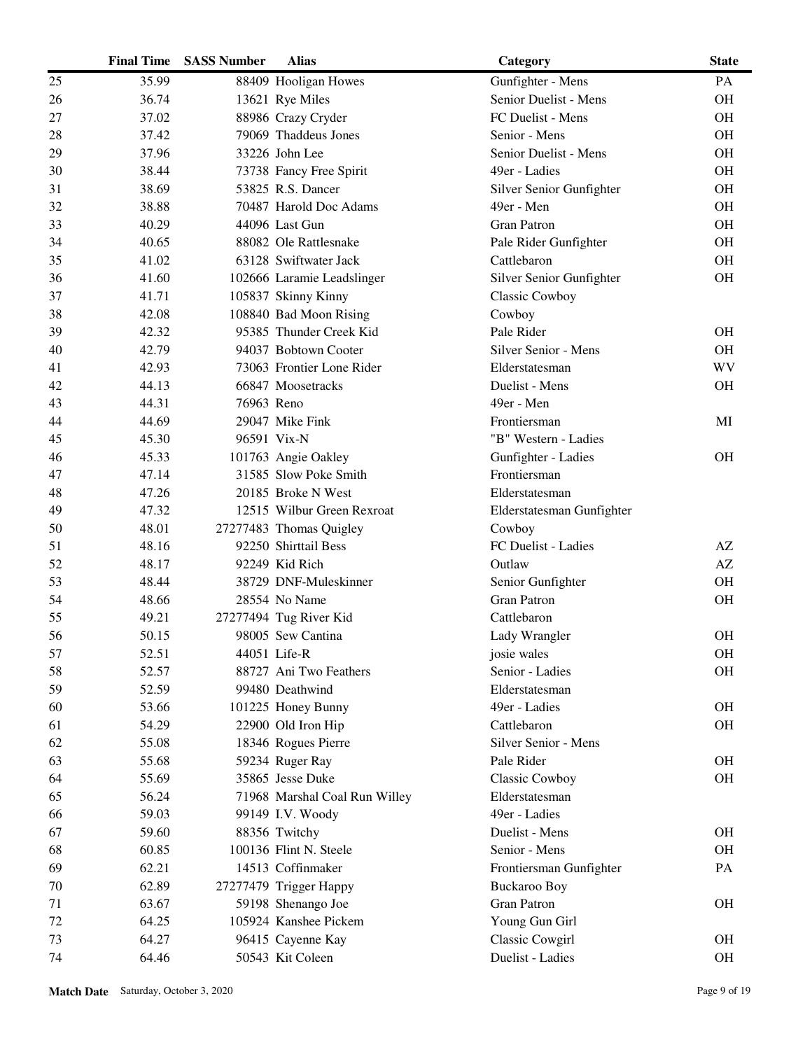|    | <b>Final Time</b> | <b>SASS Number</b> | <b>Alias</b>                  | Category                  | <b>State</b> |
|----|-------------------|--------------------|-------------------------------|---------------------------|--------------|
| 25 | 35.99             |                    | 88409 Hooligan Howes          | Gunfighter - Mens         | PA           |
| 26 | 36.74             |                    | 13621 Rye Miles               | Senior Duelist - Mens     | OH           |
| 27 | 37.02             |                    | 88986 Crazy Cryder            | FC Duelist - Mens         | <b>OH</b>    |
| 28 | 37.42             |                    | 79069 Thaddeus Jones          | Senior - Mens             | OH           |
| 29 | 37.96             |                    | 33226 John Lee                | Senior Duelist - Mens     | OH           |
| 30 | 38.44             |                    | 73738 Fancy Free Spirit       | 49er - Ladies             | OH           |
| 31 | 38.69             |                    | 53825 R.S. Dancer             | Silver Senior Gunfighter  | <b>OH</b>    |
| 32 | 38.88             |                    | 70487 Harold Doc Adams        | 49er - Men                | OH           |
| 33 | 40.29             |                    | 44096 Last Gun                | <b>Gran Patron</b>        | OH           |
| 34 | 40.65             |                    | 88082 Ole Rattlesnake         | Pale Rider Gunfighter     | OH           |
| 35 | 41.02             |                    | 63128 Swiftwater Jack         | Cattlebaron               | OH           |
| 36 | 41.60             |                    | 102666 Laramie Leadslinger    | Silver Senior Gunfighter  | OH           |
| 37 | 41.71             |                    | 105837 Skinny Kinny           | Classic Cowboy            |              |
| 38 | 42.08             |                    | 108840 Bad Moon Rising        | Cowboy                    |              |
| 39 | 42.32             |                    | 95385 Thunder Creek Kid       | Pale Rider                | <b>OH</b>    |
| 40 | 42.79             |                    | 94037 Bobtown Cooter          | Silver Senior - Mens      | OH           |
| 41 | 42.93             |                    | 73063 Frontier Lone Rider     | Elderstatesman            | <b>WV</b>    |
| 42 | 44.13             |                    | 66847 Moosetracks             | Duelist - Mens            | OH           |
| 43 | 44.31             | 76963 Reno         |                               | 49er - Men                |              |
| 44 | 44.69             |                    | 29047 Mike Fink               | Frontiersman              | MI           |
| 45 | 45.30             |                    | 96591 Vix-N                   | "B" Western - Ladies      |              |
| 46 | 45.33             |                    | 101763 Angie Oakley           | Gunfighter - Ladies       | <b>OH</b>    |
| 47 | 47.14             |                    | 31585 Slow Poke Smith         | Frontiersman              |              |
| 48 | 47.26             |                    | 20185 Broke N West            | Elderstatesman            |              |
| 49 | 47.32             |                    | 12515 Wilbur Green Rexroat    | Elderstatesman Gunfighter |              |
| 50 | 48.01             |                    | 27277483 Thomas Quigley       | Cowboy                    |              |
| 51 | 48.16             |                    | 92250 Shirttail Bess          | FC Duelist - Ladies       | AZ           |
| 52 | 48.17             |                    | 92249 Kid Rich                | Outlaw                    | AZ           |
| 53 | 48.44             |                    | 38729 DNF-Muleskinner         | Senior Gunfighter         | OH           |
| 54 | 48.66             |                    | 28554 No Name                 | <b>Gran Patron</b>        | OH           |
| 55 | 49.21             |                    | 27277494 Tug River Kid        | Cattlebaron               |              |
| 56 | 50.15             |                    | 98005 Sew Cantina             | Lady Wrangler             | <b>OH</b>    |
| 57 | 52.51             |                    | 44051 Life-R                  | josie wales               | OH           |
| 58 | 52.57             |                    | 88727 Ani Two Feathers        | Senior - Ladies           | OH           |
| 59 | 52.59             |                    | 99480 Deathwind               | Elderstatesman            |              |
| 60 | 53.66             |                    | 101225 Honey Bunny            | 49er - Ladies             | OH           |
| 61 | 54.29             |                    | 22900 Old Iron Hip            | Cattlebaron               | <b>OH</b>    |
| 62 | 55.08             |                    | 18346 Rogues Pierre           | Silver Senior - Mens      |              |
| 63 | 55.68             |                    | 59234 Ruger Ray               | Pale Rider                | OH           |
| 64 | 55.69             |                    | 35865 Jesse Duke              | Classic Cowboy            | OH           |
| 65 | 56.24             |                    | 71968 Marshal Coal Run Willey | Elderstatesman            |              |
| 66 | 59.03             |                    | 99149 I.V. Woody              | 49er - Ladies             |              |
| 67 | 59.60             |                    | 88356 Twitchy                 | Duelist - Mens            | OH           |
| 68 | 60.85             |                    | 100136 Flint N. Steele        | Senior - Mens             | OH           |
| 69 | 62.21             |                    | 14513 Coffinmaker             | Frontiersman Gunfighter   | PA           |
| 70 | 62.89             |                    | 27277479 Trigger Happy        | <b>Buckaroo Boy</b>       |              |
| 71 | 63.67             |                    | 59198 Shenango Joe            | <b>Gran Patron</b>        | <b>OH</b>    |
| 72 | 64.25             |                    | 105924 Kanshee Pickem         | Young Gun Girl            |              |
| 73 | 64.27             |                    | 96415 Cayenne Kay             | Classic Cowgirl           | OH           |
| 74 | 64.46             |                    | 50543 Kit Coleen              | Duelist - Ladies          | $\rm OH$     |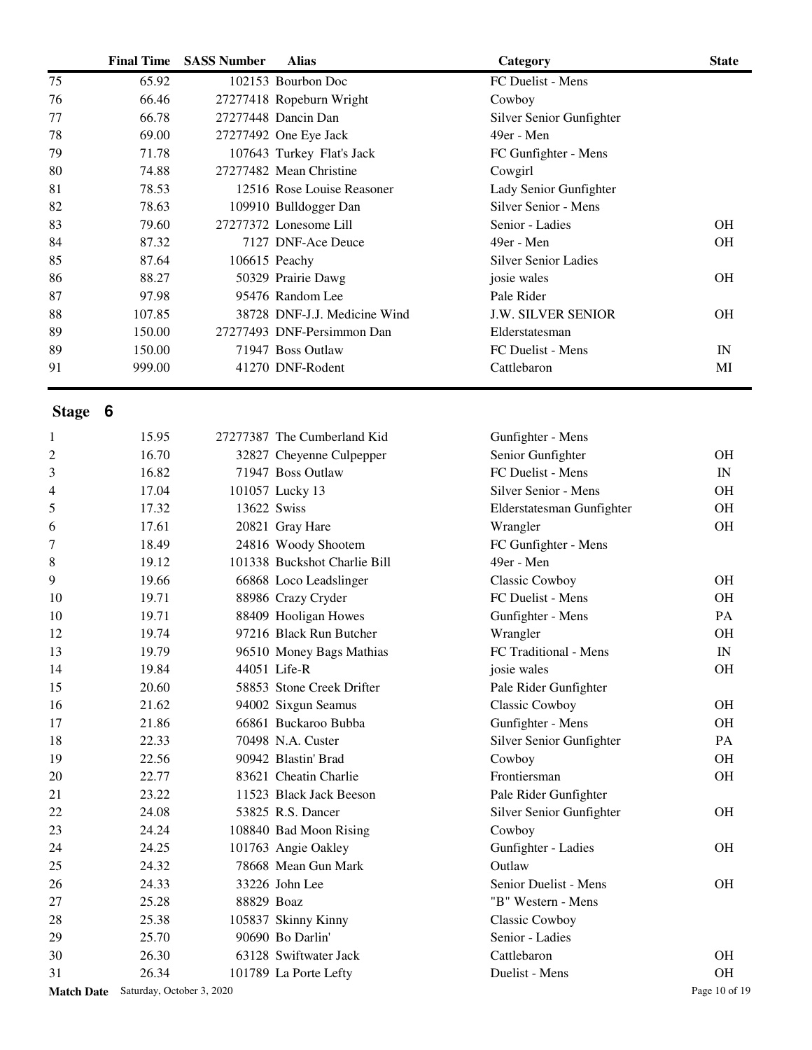|    | <b>Final Time</b> | <b>SASS Number</b> | <b>Alias</b>                 | Category                    | <b>State</b> |
|----|-------------------|--------------------|------------------------------|-----------------------------|--------------|
| 75 | 65.92             |                    | 102153 Bourbon Doc           | FC Duelist - Mens           |              |
| 76 | 66.46             |                    | 27277418 Ropeburn Wright     | Cowboy                      |              |
| 77 | 66.78             |                    | 27277448 Dancin Dan          | Silver Senior Gunfighter    |              |
| 78 | 69.00             |                    | 27277492 One Eye Jack        | 49er - Men                  |              |
| 79 | 71.78             |                    | 107643 Turkey Flat's Jack    | FC Gunfighter - Mens        |              |
| 80 | 74.88             |                    | 27277482 Mean Christine      | Cowgirl                     |              |
| 81 | 78.53             |                    | 12516 Rose Louise Reasoner   | Lady Senior Gunfighter      |              |
| 82 | 78.63             |                    | 109910 Bulldogger Dan        | Silver Senior - Mens        |              |
| 83 | 79.60             |                    | 27277372 Lonesome Lill       | Senior - Ladies             | <b>OH</b>    |
| 84 | 87.32             |                    | 7127 DNF-Ace Deuce           | 49er - Men                  | <b>OH</b>    |
| 85 | 87.64             |                    | $106615$ Peachy              | <b>Silver Senior Ladies</b> |              |
| 86 | 88.27             |                    | 50329 Prairie Dawg           | josie wales                 | <b>OH</b>    |
| 87 | 97.98             |                    | 95476 Random Lee             | Pale Rider                  |              |
| 88 | 107.85            |                    | 38728 DNF-J.J. Medicine Wind | <b>J.W. SILVER SENIOR</b>   | <b>OH</b>    |
| 89 | 150.00            |                    | 27277493 DNF-Persimmon Dan   | Elderstatesman              |              |
| 89 | 150.00            |                    | 71947 Boss Outlaw            | FC Duelist - Mens           | IN           |
| 91 | 999.00            |                    | 41270 DNF-Rodent             | Cattlebaron                 | MI           |

| 1  | 15.95                                |             | 27277387 The Cumberland Kid  | Gunfighter - Mens         |               |
|----|--------------------------------------|-------------|------------------------------|---------------------------|---------------|
| 2  | 16.70                                |             | 32827 Cheyenne Culpepper     | Senior Gunfighter         | <b>OH</b>     |
| 3  | 16.82                                |             | 71947 Boss Outlaw            | FC Duelist - Mens         | IN            |
| 4  | 17.04                                |             | 101057 Lucky 13              | Silver Senior - Mens      | <b>OH</b>     |
| 5  | 17.32                                | 13622 Swiss |                              | Elderstatesman Gunfighter | <b>OH</b>     |
| 6  | 17.61                                |             | 20821 Gray Hare              | Wrangler                  | <b>OH</b>     |
| 7  | 18.49                                |             | 24816 Woody Shootem          | FC Gunfighter - Mens      |               |
| 8  | 19.12                                |             | 101338 Buckshot Charlie Bill | 49er - Men                |               |
| 9  | 19.66                                |             | 66868 Loco Leadslinger       | Classic Cowboy            | <b>OH</b>     |
| 10 | 19.71                                |             | 88986 Crazy Cryder           | FC Duelist - Mens         | <b>OH</b>     |
| 10 | 19.71                                |             | 88409 Hooligan Howes         | Gunfighter - Mens         | PA            |
| 12 | 19.74                                |             | 97216 Black Run Butcher      | Wrangler                  | <b>OH</b>     |
| 13 | 19.79                                |             | 96510 Money Bags Mathias     | FC Traditional - Mens     | IN            |
| 14 | 19.84                                |             | 44051 Life-R                 | josie wales               | <b>OH</b>     |
| 15 | 20.60                                |             | 58853 Stone Creek Drifter    | Pale Rider Gunfighter     |               |
| 16 | 21.62                                |             | 94002 Sixgun Seamus          | Classic Cowboy            | <b>OH</b>     |
| 17 | 21.86                                |             | 66861 Buckaroo Bubba         | Gunfighter - Mens         | <b>OH</b>     |
| 18 | 22.33                                |             | 70498 N.A. Custer            | Silver Senior Gunfighter  | PA            |
| 19 | 22.56                                |             | 90942 Blastin' Brad          | Cowboy                    | <b>OH</b>     |
| 20 | 22.77                                |             | 83621 Cheatin Charlie        | Frontiersman              | <b>OH</b>     |
| 21 | 23.22                                |             | 11523 Black Jack Beeson      | Pale Rider Gunfighter     |               |
| 22 | 24.08                                |             | 53825 R.S. Dancer            | Silver Senior Gunfighter  | <b>OH</b>     |
| 23 | 24.24                                |             | 108840 Bad Moon Rising       | Cowboy                    |               |
| 24 | 24.25                                |             | 101763 Angie Oakley          | Gunfighter - Ladies       | <b>OH</b>     |
| 25 | 24.32                                |             | 78668 Mean Gun Mark          | Outlaw                    |               |
| 26 | 24.33                                |             | 33226 John Lee               | Senior Duelist - Mens     | <b>OH</b>     |
| 27 | 25.28                                | 88829 Boaz  |                              | "B" Western - Mens        |               |
| 28 | 25.38                                |             | 105837 Skinny Kinny          | Classic Cowboy            |               |
| 29 | 25.70                                |             | 90690 Bo Darlin'             | Senior - Ladies           |               |
| 30 | 26.30                                |             | 63128 Swiftwater Jack        | Cattlebaron               | <b>OH</b>     |
| 31 | 26.34                                |             | 101789 La Porte Lefty        | Duelist - Mens            | <b>OH</b>     |
|    | Match Date Saturday, October 3, 2020 |             |                              |                           | Page 10 of 19 |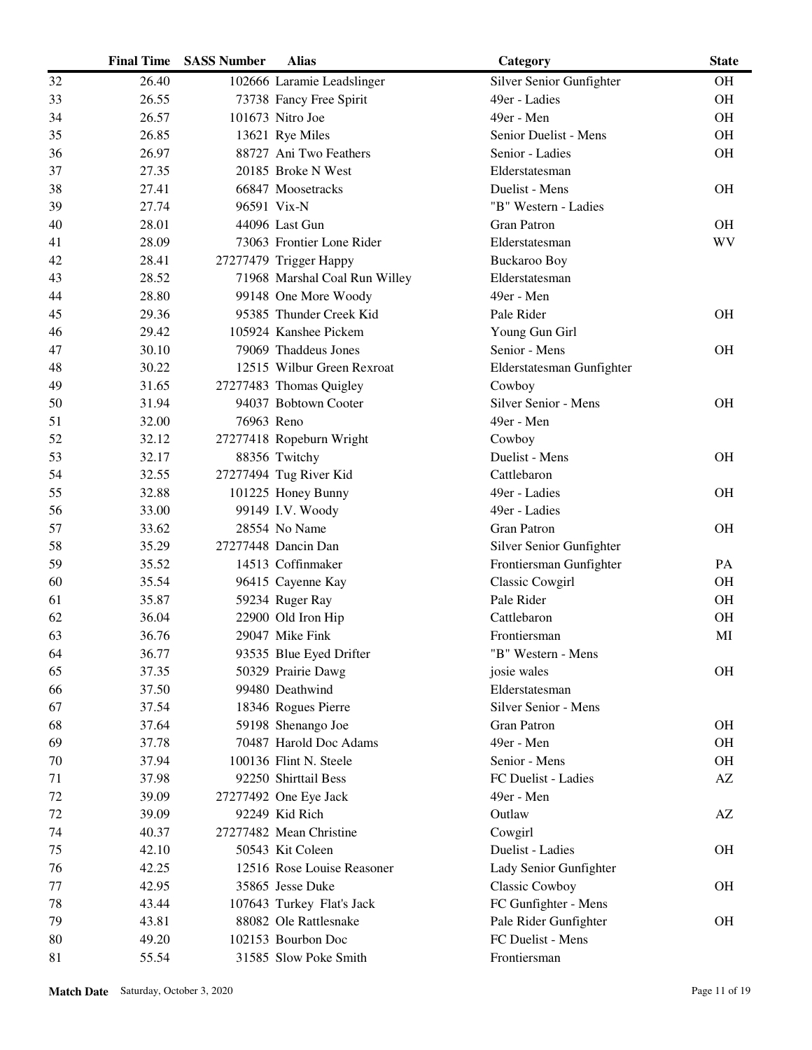| 26.40<br>102666 Laramie Leadslinger<br>Silver Senior Gunfighter<br><b>OH</b><br>32<br>26.55<br>73738 Fancy Free Spirit<br>49er - Ladies<br><b>OH</b><br>33<br>34<br>101673 Nitro Joe<br>49er - Men<br><b>OH</b><br>26.57<br>35<br>26.85<br>13621 Rye Miles<br>Senior Duelist - Mens<br><b>OH</b><br>OH<br>26.97<br>88727 Ani Two Feathers<br>Senior - Ladies<br>36<br>27.35<br>20185 Broke N West<br>Elderstatesman<br>37<br>38<br>27.41<br>66847 Moosetracks<br>Duelist - Mens<br><b>OH</b><br>96591 Vix-N<br>27.74<br>"B" Western - Ladies<br>39<br>40<br>28.01<br><b>OH</b><br>44096 Last Gun<br>Gran Patron<br><b>WV</b><br>28.09<br>73063 Frontier Lone Rider<br>41<br>Elderstatesman<br>42<br>28.41<br>27277479 Trigger Happy<br>Buckaroo Boy<br>28.52<br>71968 Marshal Coal Run Willey<br>Elderstatesman<br>43<br>28.80<br>49er - Men<br>44<br>99148 One More Woody<br>29.36<br>Pale Rider<br>95385 Thunder Creek Kid<br><b>OH</b><br>45<br>29.42<br>105924 Kanshee Pickem<br>Young Gun Girl<br>46<br>Senior - Mens<br>30.10<br>79069 Thaddeus Jones<br>47<br><b>OH</b><br>30.22<br>12515 Wilbur Green Rexroat<br>48<br>Elderstatesman Gunfighter<br>49<br>31.65<br>27277483 Thomas Quigley<br>Cowboy<br>50<br>31.94<br>94037 Bobtown Cooter<br>Silver Senior - Mens<br><b>OH</b><br>76963 Reno<br>51<br>32.00<br>49er - Men<br>52<br>32.12<br>27277418 Ropeburn Wright<br>Cowboy<br>Duelist - Mens<br>53<br>32.17<br>88356 Twitchy<br><b>OH</b><br>54<br>32.55<br>27277494 Tug River Kid<br>Cattlebaron<br>55<br>32.88<br>49er - Ladies<br><b>OH</b><br>101225 Honey Bunny<br>33.00<br>99149 I.V. Woody<br>49er - Ladies<br>56<br>OH<br>57<br>33.62<br>28554 No Name<br><b>Gran Patron</b><br>58<br>35.29<br>27277448 Dancin Dan<br>Silver Senior Gunfighter<br>14513 Coffinmaker<br>59<br>35.52<br>Frontiersman Gunfighter<br>PA<br>35.54<br>Classic Cowgirl<br><b>OH</b><br>60<br>96415 Cayenne Kay<br>Pale Rider<br>35.87<br>59234 Ruger Ray<br><b>OH</b><br>61<br>22900 Old Iron Hip<br>62<br>36.04<br>Cattlebaron<br><b>OH</b><br>29047 Mike Fink<br>63<br>36.76<br>Frontiersman<br>MI<br>36.77<br>93535 Blue Eyed Drifter<br>"B" Western - Mens<br>64<br>37.35<br>50329 Prairie Dawg<br><b>OH</b><br>65<br>josie wales<br>37.50<br>99480 Deathwind<br>Elderstatesman<br>66<br>67<br>37.54<br>18346 Rogues Pierre<br>Silver Senior - Mens<br>37.64<br>59198 Shenango Joe<br><b>Gran Patron</b><br><b>OH</b><br>68<br>70487 Harold Doc Adams<br>49er - Men<br>69<br><b>OH</b><br>37.78<br>70<br>37.94<br>100136 Flint N. Steele<br>Senior - Mens<br><b>OH</b><br>92250 Shirttail Bess<br>FC Duelist - Ladies<br>71<br>37.98<br>AZ<br>49er - Men<br>72<br>39.09<br>27277492 One Eye Jack<br>72<br>92249 Kid Rich<br>Outlaw<br>39.09<br>AZ<br>74<br>27277482 Mean Christine<br>40.37<br>Cowgirl<br>75<br>42.10<br>50543 Kit Coleen<br>Duelist - Ladies<br><b>OH</b><br>42.25<br>12516 Rose Louise Reasoner<br>Lady Senior Gunfighter<br>76<br>77<br>42.95<br>35865 Jesse Duke<br><b>OH</b><br><b>Classic Cowboy</b><br>78<br>43.44<br>FC Gunfighter - Mens<br>107643 Turkey Flat's Jack<br>43.81<br>88082 Ole Rattlesnake<br>Pale Rider Gunfighter<br><b>OH</b><br>79<br>FC Duelist - Mens<br>80<br>49.20<br>102153 Bourbon Doc<br>31585 Slow Poke Smith |    | <b>Final Time</b> | <b>SASS Number</b> | <b>Alias</b> | Category     | <b>State</b> |
|--------------------------------------------------------------------------------------------------------------------------------------------------------------------------------------------------------------------------------------------------------------------------------------------------------------------------------------------------------------------------------------------------------------------------------------------------------------------------------------------------------------------------------------------------------------------------------------------------------------------------------------------------------------------------------------------------------------------------------------------------------------------------------------------------------------------------------------------------------------------------------------------------------------------------------------------------------------------------------------------------------------------------------------------------------------------------------------------------------------------------------------------------------------------------------------------------------------------------------------------------------------------------------------------------------------------------------------------------------------------------------------------------------------------------------------------------------------------------------------------------------------------------------------------------------------------------------------------------------------------------------------------------------------------------------------------------------------------------------------------------------------------------------------------------------------------------------------------------------------------------------------------------------------------------------------------------------------------------------------------------------------------------------------------------------------------------------------------------------------------------------------------------------------------------------------------------------------------------------------------------------------------------------------------------------------------------------------------------------------------------------------------------------------------------------------------------------------------------------------------------------------------------------------------------------------------------------------------------------------------------------------------------------------------------------------------------------------------------------------------------------------------------------------------------------------------------------------------------------------------------------------------------------------------------------------------------------------------------------------------------------------------------------------------------------------------------------------------------------------------------------------------------------------------------------------------------------------------------------------------------------------------|----|-------------------|--------------------|--------------|--------------|--------------|
|                                                                                                                                                                                                                                                                                                                                                                                                                                                                                                                                                                                                                                                                                                                                                                                                                                                                                                                                                                                                                                                                                                                                                                                                                                                                                                                                                                                                                                                                                                                                                                                                                                                                                                                                                                                                                                                                                                                                                                                                                                                                                                                                                                                                                                                                                                                                                                                                                                                                                                                                                                                                                                                                                                                                                                                                                                                                                                                                                                                                                                                                                                                                                                                                                                                                    |    |                   |                    |              |              |              |
|                                                                                                                                                                                                                                                                                                                                                                                                                                                                                                                                                                                                                                                                                                                                                                                                                                                                                                                                                                                                                                                                                                                                                                                                                                                                                                                                                                                                                                                                                                                                                                                                                                                                                                                                                                                                                                                                                                                                                                                                                                                                                                                                                                                                                                                                                                                                                                                                                                                                                                                                                                                                                                                                                                                                                                                                                                                                                                                                                                                                                                                                                                                                                                                                                                                                    |    |                   |                    |              |              |              |
|                                                                                                                                                                                                                                                                                                                                                                                                                                                                                                                                                                                                                                                                                                                                                                                                                                                                                                                                                                                                                                                                                                                                                                                                                                                                                                                                                                                                                                                                                                                                                                                                                                                                                                                                                                                                                                                                                                                                                                                                                                                                                                                                                                                                                                                                                                                                                                                                                                                                                                                                                                                                                                                                                                                                                                                                                                                                                                                                                                                                                                                                                                                                                                                                                                                                    |    |                   |                    |              |              |              |
|                                                                                                                                                                                                                                                                                                                                                                                                                                                                                                                                                                                                                                                                                                                                                                                                                                                                                                                                                                                                                                                                                                                                                                                                                                                                                                                                                                                                                                                                                                                                                                                                                                                                                                                                                                                                                                                                                                                                                                                                                                                                                                                                                                                                                                                                                                                                                                                                                                                                                                                                                                                                                                                                                                                                                                                                                                                                                                                                                                                                                                                                                                                                                                                                                                                                    |    |                   |                    |              |              |              |
|                                                                                                                                                                                                                                                                                                                                                                                                                                                                                                                                                                                                                                                                                                                                                                                                                                                                                                                                                                                                                                                                                                                                                                                                                                                                                                                                                                                                                                                                                                                                                                                                                                                                                                                                                                                                                                                                                                                                                                                                                                                                                                                                                                                                                                                                                                                                                                                                                                                                                                                                                                                                                                                                                                                                                                                                                                                                                                                                                                                                                                                                                                                                                                                                                                                                    |    |                   |                    |              |              |              |
|                                                                                                                                                                                                                                                                                                                                                                                                                                                                                                                                                                                                                                                                                                                                                                                                                                                                                                                                                                                                                                                                                                                                                                                                                                                                                                                                                                                                                                                                                                                                                                                                                                                                                                                                                                                                                                                                                                                                                                                                                                                                                                                                                                                                                                                                                                                                                                                                                                                                                                                                                                                                                                                                                                                                                                                                                                                                                                                                                                                                                                                                                                                                                                                                                                                                    |    |                   |                    |              |              |              |
|                                                                                                                                                                                                                                                                                                                                                                                                                                                                                                                                                                                                                                                                                                                                                                                                                                                                                                                                                                                                                                                                                                                                                                                                                                                                                                                                                                                                                                                                                                                                                                                                                                                                                                                                                                                                                                                                                                                                                                                                                                                                                                                                                                                                                                                                                                                                                                                                                                                                                                                                                                                                                                                                                                                                                                                                                                                                                                                                                                                                                                                                                                                                                                                                                                                                    |    |                   |                    |              |              |              |
|                                                                                                                                                                                                                                                                                                                                                                                                                                                                                                                                                                                                                                                                                                                                                                                                                                                                                                                                                                                                                                                                                                                                                                                                                                                                                                                                                                                                                                                                                                                                                                                                                                                                                                                                                                                                                                                                                                                                                                                                                                                                                                                                                                                                                                                                                                                                                                                                                                                                                                                                                                                                                                                                                                                                                                                                                                                                                                                                                                                                                                                                                                                                                                                                                                                                    |    |                   |                    |              |              |              |
|                                                                                                                                                                                                                                                                                                                                                                                                                                                                                                                                                                                                                                                                                                                                                                                                                                                                                                                                                                                                                                                                                                                                                                                                                                                                                                                                                                                                                                                                                                                                                                                                                                                                                                                                                                                                                                                                                                                                                                                                                                                                                                                                                                                                                                                                                                                                                                                                                                                                                                                                                                                                                                                                                                                                                                                                                                                                                                                                                                                                                                                                                                                                                                                                                                                                    |    |                   |                    |              |              |              |
|                                                                                                                                                                                                                                                                                                                                                                                                                                                                                                                                                                                                                                                                                                                                                                                                                                                                                                                                                                                                                                                                                                                                                                                                                                                                                                                                                                                                                                                                                                                                                                                                                                                                                                                                                                                                                                                                                                                                                                                                                                                                                                                                                                                                                                                                                                                                                                                                                                                                                                                                                                                                                                                                                                                                                                                                                                                                                                                                                                                                                                                                                                                                                                                                                                                                    |    |                   |                    |              |              |              |
|                                                                                                                                                                                                                                                                                                                                                                                                                                                                                                                                                                                                                                                                                                                                                                                                                                                                                                                                                                                                                                                                                                                                                                                                                                                                                                                                                                                                                                                                                                                                                                                                                                                                                                                                                                                                                                                                                                                                                                                                                                                                                                                                                                                                                                                                                                                                                                                                                                                                                                                                                                                                                                                                                                                                                                                                                                                                                                                                                                                                                                                                                                                                                                                                                                                                    |    |                   |                    |              |              |              |
|                                                                                                                                                                                                                                                                                                                                                                                                                                                                                                                                                                                                                                                                                                                                                                                                                                                                                                                                                                                                                                                                                                                                                                                                                                                                                                                                                                                                                                                                                                                                                                                                                                                                                                                                                                                                                                                                                                                                                                                                                                                                                                                                                                                                                                                                                                                                                                                                                                                                                                                                                                                                                                                                                                                                                                                                                                                                                                                                                                                                                                                                                                                                                                                                                                                                    |    |                   |                    |              |              |              |
|                                                                                                                                                                                                                                                                                                                                                                                                                                                                                                                                                                                                                                                                                                                                                                                                                                                                                                                                                                                                                                                                                                                                                                                                                                                                                                                                                                                                                                                                                                                                                                                                                                                                                                                                                                                                                                                                                                                                                                                                                                                                                                                                                                                                                                                                                                                                                                                                                                                                                                                                                                                                                                                                                                                                                                                                                                                                                                                                                                                                                                                                                                                                                                                                                                                                    |    |                   |                    |              |              |              |
|                                                                                                                                                                                                                                                                                                                                                                                                                                                                                                                                                                                                                                                                                                                                                                                                                                                                                                                                                                                                                                                                                                                                                                                                                                                                                                                                                                                                                                                                                                                                                                                                                                                                                                                                                                                                                                                                                                                                                                                                                                                                                                                                                                                                                                                                                                                                                                                                                                                                                                                                                                                                                                                                                                                                                                                                                                                                                                                                                                                                                                                                                                                                                                                                                                                                    |    |                   |                    |              |              |              |
|                                                                                                                                                                                                                                                                                                                                                                                                                                                                                                                                                                                                                                                                                                                                                                                                                                                                                                                                                                                                                                                                                                                                                                                                                                                                                                                                                                                                                                                                                                                                                                                                                                                                                                                                                                                                                                                                                                                                                                                                                                                                                                                                                                                                                                                                                                                                                                                                                                                                                                                                                                                                                                                                                                                                                                                                                                                                                                                                                                                                                                                                                                                                                                                                                                                                    |    |                   |                    |              |              |              |
|                                                                                                                                                                                                                                                                                                                                                                                                                                                                                                                                                                                                                                                                                                                                                                                                                                                                                                                                                                                                                                                                                                                                                                                                                                                                                                                                                                                                                                                                                                                                                                                                                                                                                                                                                                                                                                                                                                                                                                                                                                                                                                                                                                                                                                                                                                                                                                                                                                                                                                                                                                                                                                                                                                                                                                                                                                                                                                                                                                                                                                                                                                                                                                                                                                                                    |    |                   |                    |              |              |              |
|                                                                                                                                                                                                                                                                                                                                                                                                                                                                                                                                                                                                                                                                                                                                                                                                                                                                                                                                                                                                                                                                                                                                                                                                                                                                                                                                                                                                                                                                                                                                                                                                                                                                                                                                                                                                                                                                                                                                                                                                                                                                                                                                                                                                                                                                                                                                                                                                                                                                                                                                                                                                                                                                                                                                                                                                                                                                                                                                                                                                                                                                                                                                                                                                                                                                    |    |                   |                    |              |              |              |
|                                                                                                                                                                                                                                                                                                                                                                                                                                                                                                                                                                                                                                                                                                                                                                                                                                                                                                                                                                                                                                                                                                                                                                                                                                                                                                                                                                                                                                                                                                                                                                                                                                                                                                                                                                                                                                                                                                                                                                                                                                                                                                                                                                                                                                                                                                                                                                                                                                                                                                                                                                                                                                                                                                                                                                                                                                                                                                                                                                                                                                                                                                                                                                                                                                                                    |    |                   |                    |              |              |              |
|                                                                                                                                                                                                                                                                                                                                                                                                                                                                                                                                                                                                                                                                                                                                                                                                                                                                                                                                                                                                                                                                                                                                                                                                                                                                                                                                                                                                                                                                                                                                                                                                                                                                                                                                                                                                                                                                                                                                                                                                                                                                                                                                                                                                                                                                                                                                                                                                                                                                                                                                                                                                                                                                                                                                                                                                                                                                                                                                                                                                                                                                                                                                                                                                                                                                    |    |                   |                    |              |              |              |
|                                                                                                                                                                                                                                                                                                                                                                                                                                                                                                                                                                                                                                                                                                                                                                                                                                                                                                                                                                                                                                                                                                                                                                                                                                                                                                                                                                                                                                                                                                                                                                                                                                                                                                                                                                                                                                                                                                                                                                                                                                                                                                                                                                                                                                                                                                                                                                                                                                                                                                                                                                                                                                                                                                                                                                                                                                                                                                                                                                                                                                                                                                                                                                                                                                                                    |    |                   |                    |              |              |              |
|                                                                                                                                                                                                                                                                                                                                                                                                                                                                                                                                                                                                                                                                                                                                                                                                                                                                                                                                                                                                                                                                                                                                                                                                                                                                                                                                                                                                                                                                                                                                                                                                                                                                                                                                                                                                                                                                                                                                                                                                                                                                                                                                                                                                                                                                                                                                                                                                                                                                                                                                                                                                                                                                                                                                                                                                                                                                                                                                                                                                                                                                                                                                                                                                                                                                    |    |                   |                    |              |              |              |
|                                                                                                                                                                                                                                                                                                                                                                                                                                                                                                                                                                                                                                                                                                                                                                                                                                                                                                                                                                                                                                                                                                                                                                                                                                                                                                                                                                                                                                                                                                                                                                                                                                                                                                                                                                                                                                                                                                                                                                                                                                                                                                                                                                                                                                                                                                                                                                                                                                                                                                                                                                                                                                                                                                                                                                                                                                                                                                                                                                                                                                                                                                                                                                                                                                                                    |    |                   |                    |              |              |              |
|                                                                                                                                                                                                                                                                                                                                                                                                                                                                                                                                                                                                                                                                                                                                                                                                                                                                                                                                                                                                                                                                                                                                                                                                                                                                                                                                                                                                                                                                                                                                                                                                                                                                                                                                                                                                                                                                                                                                                                                                                                                                                                                                                                                                                                                                                                                                                                                                                                                                                                                                                                                                                                                                                                                                                                                                                                                                                                                                                                                                                                                                                                                                                                                                                                                                    |    |                   |                    |              |              |              |
|                                                                                                                                                                                                                                                                                                                                                                                                                                                                                                                                                                                                                                                                                                                                                                                                                                                                                                                                                                                                                                                                                                                                                                                                                                                                                                                                                                                                                                                                                                                                                                                                                                                                                                                                                                                                                                                                                                                                                                                                                                                                                                                                                                                                                                                                                                                                                                                                                                                                                                                                                                                                                                                                                                                                                                                                                                                                                                                                                                                                                                                                                                                                                                                                                                                                    |    |                   |                    |              |              |              |
|                                                                                                                                                                                                                                                                                                                                                                                                                                                                                                                                                                                                                                                                                                                                                                                                                                                                                                                                                                                                                                                                                                                                                                                                                                                                                                                                                                                                                                                                                                                                                                                                                                                                                                                                                                                                                                                                                                                                                                                                                                                                                                                                                                                                                                                                                                                                                                                                                                                                                                                                                                                                                                                                                                                                                                                                                                                                                                                                                                                                                                                                                                                                                                                                                                                                    |    |                   |                    |              |              |              |
|                                                                                                                                                                                                                                                                                                                                                                                                                                                                                                                                                                                                                                                                                                                                                                                                                                                                                                                                                                                                                                                                                                                                                                                                                                                                                                                                                                                                                                                                                                                                                                                                                                                                                                                                                                                                                                                                                                                                                                                                                                                                                                                                                                                                                                                                                                                                                                                                                                                                                                                                                                                                                                                                                                                                                                                                                                                                                                                                                                                                                                                                                                                                                                                                                                                                    |    |                   |                    |              |              |              |
|                                                                                                                                                                                                                                                                                                                                                                                                                                                                                                                                                                                                                                                                                                                                                                                                                                                                                                                                                                                                                                                                                                                                                                                                                                                                                                                                                                                                                                                                                                                                                                                                                                                                                                                                                                                                                                                                                                                                                                                                                                                                                                                                                                                                                                                                                                                                                                                                                                                                                                                                                                                                                                                                                                                                                                                                                                                                                                                                                                                                                                                                                                                                                                                                                                                                    |    |                   |                    |              |              |              |
|                                                                                                                                                                                                                                                                                                                                                                                                                                                                                                                                                                                                                                                                                                                                                                                                                                                                                                                                                                                                                                                                                                                                                                                                                                                                                                                                                                                                                                                                                                                                                                                                                                                                                                                                                                                                                                                                                                                                                                                                                                                                                                                                                                                                                                                                                                                                                                                                                                                                                                                                                                                                                                                                                                                                                                                                                                                                                                                                                                                                                                                                                                                                                                                                                                                                    |    |                   |                    |              |              |              |
|                                                                                                                                                                                                                                                                                                                                                                                                                                                                                                                                                                                                                                                                                                                                                                                                                                                                                                                                                                                                                                                                                                                                                                                                                                                                                                                                                                                                                                                                                                                                                                                                                                                                                                                                                                                                                                                                                                                                                                                                                                                                                                                                                                                                                                                                                                                                                                                                                                                                                                                                                                                                                                                                                                                                                                                                                                                                                                                                                                                                                                                                                                                                                                                                                                                                    |    |                   |                    |              |              |              |
|                                                                                                                                                                                                                                                                                                                                                                                                                                                                                                                                                                                                                                                                                                                                                                                                                                                                                                                                                                                                                                                                                                                                                                                                                                                                                                                                                                                                                                                                                                                                                                                                                                                                                                                                                                                                                                                                                                                                                                                                                                                                                                                                                                                                                                                                                                                                                                                                                                                                                                                                                                                                                                                                                                                                                                                                                                                                                                                                                                                                                                                                                                                                                                                                                                                                    |    |                   |                    |              |              |              |
|                                                                                                                                                                                                                                                                                                                                                                                                                                                                                                                                                                                                                                                                                                                                                                                                                                                                                                                                                                                                                                                                                                                                                                                                                                                                                                                                                                                                                                                                                                                                                                                                                                                                                                                                                                                                                                                                                                                                                                                                                                                                                                                                                                                                                                                                                                                                                                                                                                                                                                                                                                                                                                                                                                                                                                                                                                                                                                                                                                                                                                                                                                                                                                                                                                                                    |    |                   |                    |              |              |              |
|                                                                                                                                                                                                                                                                                                                                                                                                                                                                                                                                                                                                                                                                                                                                                                                                                                                                                                                                                                                                                                                                                                                                                                                                                                                                                                                                                                                                                                                                                                                                                                                                                                                                                                                                                                                                                                                                                                                                                                                                                                                                                                                                                                                                                                                                                                                                                                                                                                                                                                                                                                                                                                                                                                                                                                                                                                                                                                                                                                                                                                                                                                                                                                                                                                                                    |    |                   |                    |              |              |              |
|                                                                                                                                                                                                                                                                                                                                                                                                                                                                                                                                                                                                                                                                                                                                                                                                                                                                                                                                                                                                                                                                                                                                                                                                                                                                                                                                                                                                                                                                                                                                                                                                                                                                                                                                                                                                                                                                                                                                                                                                                                                                                                                                                                                                                                                                                                                                                                                                                                                                                                                                                                                                                                                                                                                                                                                                                                                                                                                                                                                                                                                                                                                                                                                                                                                                    |    |                   |                    |              |              |              |
|                                                                                                                                                                                                                                                                                                                                                                                                                                                                                                                                                                                                                                                                                                                                                                                                                                                                                                                                                                                                                                                                                                                                                                                                                                                                                                                                                                                                                                                                                                                                                                                                                                                                                                                                                                                                                                                                                                                                                                                                                                                                                                                                                                                                                                                                                                                                                                                                                                                                                                                                                                                                                                                                                                                                                                                                                                                                                                                                                                                                                                                                                                                                                                                                                                                                    |    |                   |                    |              |              |              |
|                                                                                                                                                                                                                                                                                                                                                                                                                                                                                                                                                                                                                                                                                                                                                                                                                                                                                                                                                                                                                                                                                                                                                                                                                                                                                                                                                                                                                                                                                                                                                                                                                                                                                                                                                                                                                                                                                                                                                                                                                                                                                                                                                                                                                                                                                                                                                                                                                                                                                                                                                                                                                                                                                                                                                                                                                                                                                                                                                                                                                                                                                                                                                                                                                                                                    |    |                   |                    |              |              |              |
|                                                                                                                                                                                                                                                                                                                                                                                                                                                                                                                                                                                                                                                                                                                                                                                                                                                                                                                                                                                                                                                                                                                                                                                                                                                                                                                                                                                                                                                                                                                                                                                                                                                                                                                                                                                                                                                                                                                                                                                                                                                                                                                                                                                                                                                                                                                                                                                                                                                                                                                                                                                                                                                                                                                                                                                                                                                                                                                                                                                                                                                                                                                                                                                                                                                                    |    |                   |                    |              |              |              |
|                                                                                                                                                                                                                                                                                                                                                                                                                                                                                                                                                                                                                                                                                                                                                                                                                                                                                                                                                                                                                                                                                                                                                                                                                                                                                                                                                                                                                                                                                                                                                                                                                                                                                                                                                                                                                                                                                                                                                                                                                                                                                                                                                                                                                                                                                                                                                                                                                                                                                                                                                                                                                                                                                                                                                                                                                                                                                                                                                                                                                                                                                                                                                                                                                                                                    |    |                   |                    |              |              |              |
|                                                                                                                                                                                                                                                                                                                                                                                                                                                                                                                                                                                                                                                                                                                                                                                                                                                                                                                                                                                                                                                                                                                                                                                                                                                                                                                                                                                                                                                                                                                                                                                                                                                                                                                                                                                                                                                                                                                                                                                                                                                                                                                                                                                                                                                                                                                                                                                                                                                                                                                                                                                                                                                                                                                                                                                                                                                                                                                                                                                                                                                                                                                                                                                                                                                                    |    |                   |                    |              |              |              |
|                                                                                                                                                                                                                                                                                                                                                                                                                                                                                                                                                                                                                                                                                                                                                                                                                                                                                                                                                                                                                                                                                                                                                                                                                                                                                                                                                                                                                                                                                                                                                                                                                                                                                                                                                                                                                                                                                                                                                                                                                                                                                                                                                                                                                                                                                                                                                                                                                                                                                                                                                                                                                                                                                                                                                                                                                                                                                                                                                                                                                                                                                                                                                                                                                                                                    |    |                   |                    |              |              |              |
|                                                                                                                                                                                                                                                                                                                                                                                                                                                                                                                                                                                                                                                                                                                                                                                                                                                                                                                                                                                                                                                                                                                                                                                                                                                                                                                                                                                                                                                                                                                                                                                                                                                                                                                                                                                                                                                                                                                                                                                                                                                                                                                                                                                                                                                                                                                                                                                                                                                                                                                                                                                                                                                                                                                                                                                                                                                                                                                                                                                                                                                                                                                                                                                                                                                                    |    |                   |                    |              |              |              |
|                                                                                                                                                                                                                                                                                                                                                                                                                                                                                                                                                                                                                                                                                                                                                                                                                                                                                                                                                                                                                                                                                                                                                                                                                                                                                                                                                                                                                                                                                                                                                                                                                                                                                                                                                                                                                                                                                                                                                                                                                                                                                                                                                                                                                                                                                                                                                                                                                                                                                                                                                                                                                                                                                                                                                                                                                                                                                                                                                                                                                                                                                                                                                                                                                                                                    |    |                   |                    |              |              |              |
|                                                                                                                                                                                                                                                                                                                                                                                                                                                                                                                                                                                                                                                                                                                                                                                                                                                                                                                                                                                                                                                                                                                                                                                                                                                                                                                                                                                                                                                                                                                                                                                                                                                                                                                                                                                                                                                                                                                                                                                                                                                                                                                                                                                                                                                                                                                                                                                                                                                                                                                                                                                                                                                                                                                                                                                                                                                                                                                                                                                                                                                                                                                                                                                                                                                                    |    |                   |                    |              |              |              |
|                                                                                                                                                                                                                                                                                                                                                                                                                                                                                                                                                                                                                                                                                                                                                                                                                                                                                                                                                                                                                                                                                                                                                                                                                                                                                                                                                                                                                                                                                                                                                                                                                                                                                                                                                                                                                                                                                                                                                                                                                                                                                                                                                                                                                                                                                                                                                                                                                                                                                                                                                                                                                                                                                                                                                                                                                                                                                                                                                                                                                                                                                                                                                                                                                                                                    |    |                   |                    |              |              |              |
|                                                                                                                                                                                                                                                                                                                                                                                                                                                                                                                                                                                                                                                                                                                                                                                                                                                                                                                                                                                                                                                                                                                                                                                                                                                                                                                                                                                                                                                                                                                                                                                                                                                                                                                                                                                                                                                                                                                                                                                                                                                                                                                                                                                                                                                                                                                                                                                                                                                                                                                                                                                                                                                                                                                                                                                                                                                                                                                                                                                                                                                                                                                                                                                                                                                                    |    |                   |                    |              |              |              |
|                                                                                                                                                                                                                                                                                                                                                                                                                                                                                                                                                                                                                                                                                                                                                                                                                                                                                                                                                                                                                                                                                                                                                                                                                                                                                                                                                                                                                                                                                                                                                                                                                                                                                                                                                                                                                                                                                                                                                                                                                                                                                                                                                                                                                                                                                                                                                                                                                                                                                                                                                                                                                                                                                                                                                                                                                                                                                                                                                                                                                                                                                                                                                                                                                                                                    |    |                   |                    |              |              |              |
|                                                                                                                                                                                                                                                                                                                                                                                                                                                                                                                                                                                                                                                                                                                                                                                                                                                                                                                                                                                                                                                                                                                                                                                                                                                                                                                                                                                                                                                                                                                                                                                                                                                                                                                                                                                                                                                                                                                                                                                                                                                                                                                                                                                                                                                                                                                                                                                                                                                                                                                                                                                                                                                                                                                                                                                                                                                                                                                                                                                                                                                                                                                                                                                                                                                                    |    |                   |                    |              |              |              |
|                                                                                                                                                                                                                                                                                                                                                                                                                                                                                                                                                                                                                                                                                                                                                                                                                                                                                                                                                                                                                                                                                                                                                                                                                                                                                                                                                                                                                                                                                                                                                                                                                                                                                                                                                                                                                                                                                                                                                                                                                                                                                                                                                                                                                                                                                                                                                                                                                                                                                                                                                                                                                                                                                                                                                                                                                                                                                                                                                                                                                                                                                                                                                                                                                                                                    |    |                   |                    |              |              |              |
|                                                                                                                                                                                                                                                                                                                                                                                                                                                                                                                                                                                                                                                                                                                                                                                                                                                                                                                                                                                                                                                                                                                                                                                                                                                                                                                                                                                                                                                                                                                                                                                                                                                                                                                                                                                                                                                                                                                                                                                                                                                                                                                                                                                                                                                                                                                                                                                                                                                                                                                                                                                                                                                                                                                                                                                                                                                                                                                                                                                                                                                                                                                                                                                                                                                                    |    |                   |                    |              |              |              |
|                                                                                                                                                                                                                                                                                                                                                                                                                                                                                                                                                                                                                                                                                                                                                                                                                                                                                                                                                                                                                                                                                                                                                                                                                                                                                                                                                                                                                                                                                                                                                                                                                                                                                                                                                                                                                                                                                                                                                                                                                                                                                                                                                                                                                                                                                                                                                                                                                                                                                                                                                                                                                                                                                                                                                                                                                                                                                                                                                                                                                                                                                                                                                                                                                                                                    |    |                   |                    |              |              |              |
|                                                                                                                                                                                                                                                                                                                                                                                                                                                                                                                                                                                                                                                                                                                                                                                                                                                                                                                                                                                                                                                                                                                                                                                                                                                                                                                                                                                                                                                                                                                                                                                                                                                                                                                                                                                                                                                                                                                                                                                                                                                                                                                                                                                                                                                                                                                                                                                                                                                                                                                                                                                                                                                                                                                                                                                                                                                                                                                                                                                                                                                                                                                                                                                                                                                                    | 81 | 55.54             |                    |              | Frontiersman |              |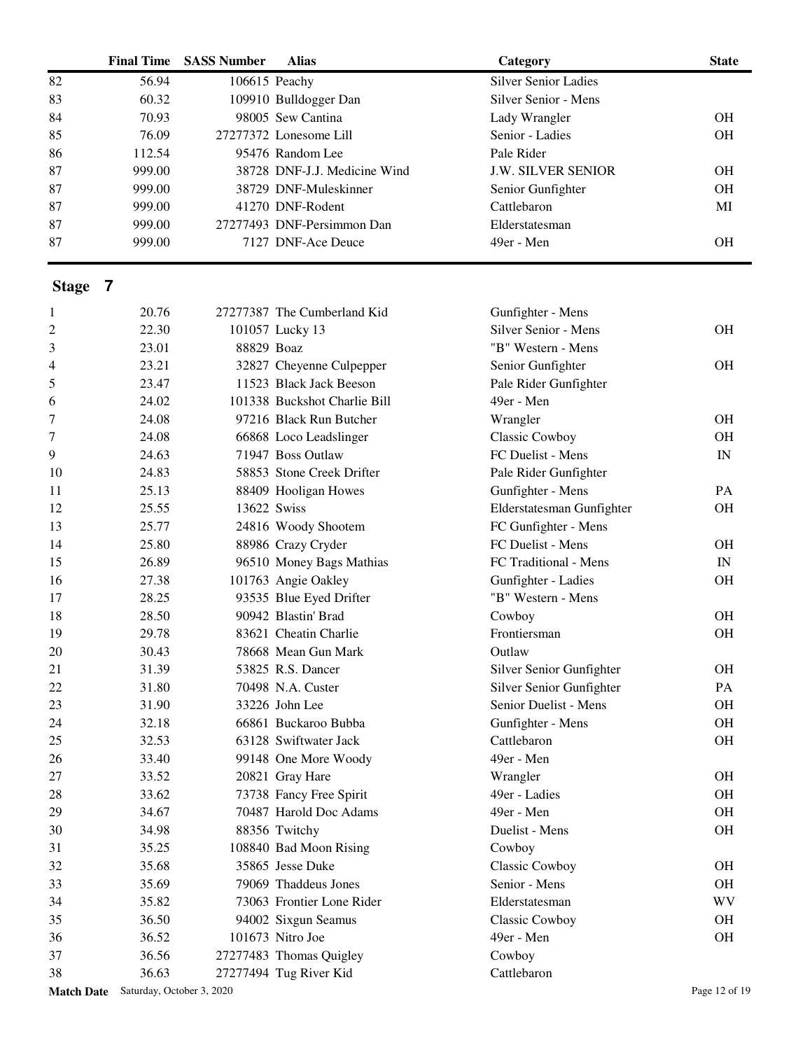|                   | <b>Final Time</b>         | <b>SASS Number</b> | <b>Alias</b>                 | Category                    | <b>State</b>             |
|-------------------|---------------------------|--------------------|------------------------------|-----------------------------|--------------------------|
| 82                | 56.94                     | 106615 Peachy      |                              | <b>Silver Senior Ladies</b> |                          |
| 83                | 60.32                     |                    | 109910 Bulldogger Dan        | Silver Senior - Mens        |                          |
| 84                | 70.93                     |                    | 98005 Sew Cantina            | Lady Wrangler               | <b>OH</b>                |
| 85                | 76.09                     |                    | 27277372 Lonesome Lill       | Senior - Ladies             | <b>OH</b>                |
| 86                | 112.54                    |                    | 95476 Random Lee             | Pale Rider                  |                          |
| 87                | 999.00                    |                    | 38728 DNF-J.J. Medicine Wind | <b>J.W. SILVER SENIOR</b>   | <b>OH</b>                |
| 87                | 999.00                    |                    | 38729 DNF-Muleskinner        | Senior Gunfighter           | <b>OH</b>                |
| 87                | 999.00                    |                    | 41270 DNF-Rodent             | Cattlebaron                 | MI                       |
| 87                | 999.00                    |                    | 27277493 DNF-Persimmon Dan   | Elderstatesman              |                          |
| 87                | 999.00                    |                    | 7127 DNF-Ace Deuce           | 49er - Men                  | <b>OH</b>                |
| Stage 7           |                           |                    |                              |                             |                          |
| 1                 | 20.76                     |                    | 27277387 The Cumberland Kid  | Gunfighter - Mens           |                          |
| $\overline{c}$    | 22.30                     |                    | 101057 Lucky 13              | Silver Senior - Mens        | <b>OH</b>                |
| 3                 | 23.01                     | 88829 Boaz         |                              | "B" Western - Mens          |                          |
| 4                 | 23.21                     |                    | 32827 Cheyenne Culpepper     | Senior Gunfighter           | <b>OH</b>                |
| 5                 | 23.47                     |                    | 11523 Black Jack Beeson      | Pale Rider Gunfighter       |                          |
| 6                 | 24.02                     |                    | 101338 Buckshot Charlie Bill | 49er - Men                  |                          |
| 7                 | 24.08                     |                    | 97216 Black Run Butcher      |                             | <b>OH</b>                |
| 7                 | 24.08                     |                    | 66868 Loco Leadslinger       | Wrangler<br>Classic Cowboy  | <b>OH</b>                |
| 9                 | 24.63                     |                    | 71947 Boss Outlaw            | FC Duelist - Mens           | $\ensuremath{\text{IN}}$ |
|                   | 24.83                     |                    | 58853 Stone Creek Drifter    |                             |                          |
| 10                |                           |                    |                              | Pale Rider Gunfighter       |                          |
| 11                | 25.13                     |                    | 88409 Hooligan Howes         | Gunfighter - Mens           | PA                       |
| 12                | 25.55                     | 13622 Swiss        |                              | Elderstatesman Gunfighter   | <b>OH</b>                |
| 13                | 25.77                     |                    | 24816 Woody Shootem          | FC Gunfighter - Mens        |                          |
| 14                | 25.80                     |                    | 88986 Crazy Cryder           | FC Duelist - Mens           | <b>OH</b>                |
| 15                | 26.89                     |                    | 96510 Money Bags Mathias     | FC Traditional - Mens       | $\ensuremath{\text{IN}}$ |
| 16                | 27.38                     |                    | 101763 Angie Oakley          | Gunfighter - Ladies         | <b>OH</b>                |
| 17                | 28.25                     |                    | 93535 Blue Eyed Drifter      | "B" Western - Mens          |                          |
| 18                | 28.50                     |                    | 90942 Blastin' Brad          | Cowboy                      | <b>OH</b>                |
| 19                | 29.78                     |                    | 83621 Cheatin Charlie        | Frontiersman                | <b>OH</b>                |
| 20                | 30.43                     |                    | 78668 Mean Gun Mark          | Outlaw                      |                          |
| 21                | 31.39                     |                    | 53825 R.S. Dancer            | Silver Senior Gunfighter    | <b>OH</b>                |
| 22                | 31.80                     |                    | 70498 N.A. Custer            | Silver Senior Gunfighter    | PA                       |
| 23                | 31.90                     |                    | 33226 John Lee               | Senior Duelist - Mens       | <b>OH</b>                |
| 24                | 32.18                     |                    | 66861 Buckaroo Bubba         | Gunfighter - Mens           | <b>OH</b>                |
| 25                | 32.53                     |                    | 63128 Swiftwater Jack        | Cattlebaron                 | <b>OH</b>                |
| 26                | 33.40                     |                    | 99148 One More Woody         | 49er - Men                  |                          |
| 27                | 33.52                     |                    | 20821 Gray Hare              | Wrangler                    | <b>OH</b>                |
| 28                | 33.62                     |                    | 73738 Fancy Free Spirit      | 49er - Ladies               | <b>OH</b>                |
| 29                | 34.67                     |                    | 70487 Harold Doc Adams       | 49er - Men                  | <b>OH</b>                |
| 30                | 34.98                     |                    | 88356 Twitchy                | Duelist - Mens              | <b>OH</b>                |
| 31                | 35.25                     |                    | 108840 Bad Moon Rising       | Cowboy                      |                          |
| 32                | 35.68                     |                    | 35865 Jesse Duke             | <b>Classic Cowboy</b>       | <b>OH</b>                |
| 33                | 35.69                     |                    | 79069 Thaddeus Jones         | Senior - Mens               | <b>OH</b>                |
| 34                | 35.82                     |                    | 73063 Frontier Lone Rider    | Elderstatesman              | WV                       |
| 35                | 36.50                     |                    | 94002 Sixgun Seamus          | Classic Cowboy              | <b>OH</b>                |
| 36                | 36.52                     |                    | 101673 Nitro Joe             | 49er - Men                  | <b>OH</b>                |
| 37                | 36.56                     |                    | 27277483 Thomas Quigley      | Cowboy                      |                          |
| 38                | 36.63                     |                    | 27277494 Tug River Kid       | Cattlebaron                 |                          |
| <b>Match Date</b> | Saturday, October 3, 2020 |                    |                              |                             | Page 12 of 19            |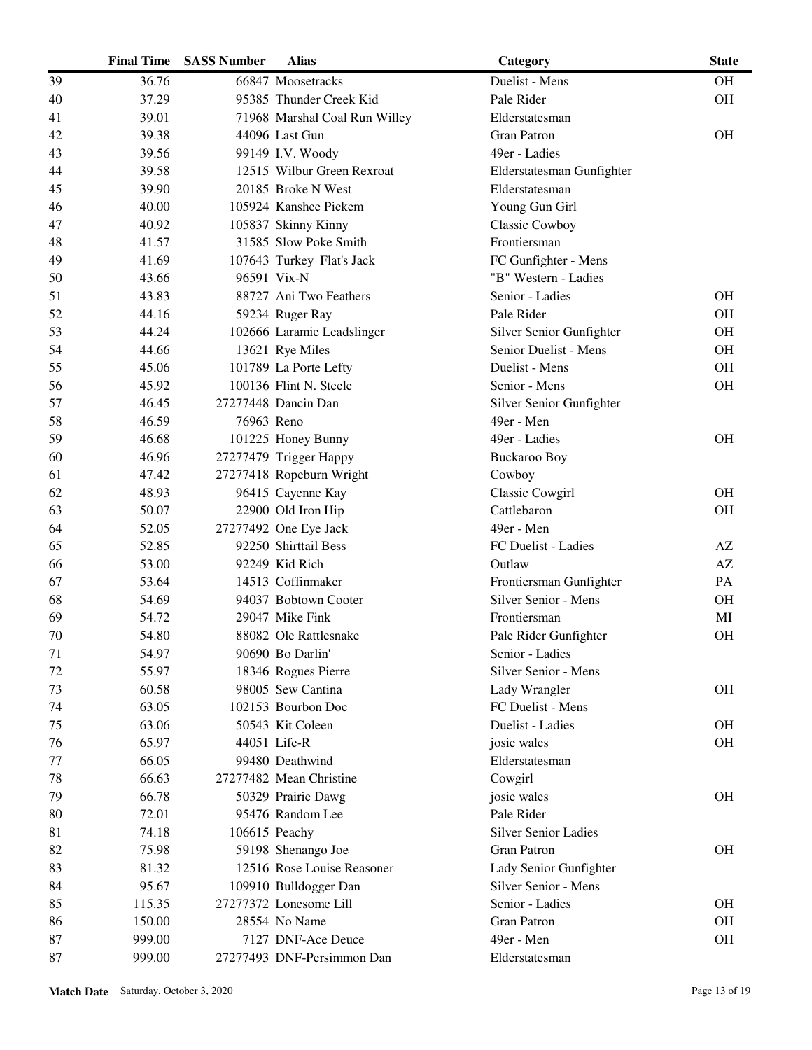|    | <b>Final Time</b> | <b>SASS Number</b> | <b>Alias</b>                  | Category                    | <b>State</b> |
|----|-------------------|--------------------|-------------------------------|-----------------------------|--------------|
| 39 | 36.76             |                    | 66847 Moosetracks             | Duelist - Mens              | <b>OH</b>    |
| 40 | 37.29             |                    | 95385 Thunder Creek Kid       | Pale Rider                  | OH           |
| 41 | 39.01             |                    | 71968 Marshal Coal Run Willey | Elderstatesman              |              |
| 42 | 39.38             |                    | 44096 Last Gun                | <b>Gran Patron</b>          | <b>OH</b>    |
| 43 | 39.56             |                    | 99149 I.V. Woody              | 49er - Ladies               |              |
| 44 | 39.58             |                    | 12515 Wilbur Green Rexroat    | Elderstatesman Gunfighter   |              |
| 45 | 39.90             |                    | 20185 Broke N West            | Elderstatesman              |              |
| 46 | 40.00             |                    | 105924 Kanshee Pickem         | Young Gun Girl              |              |
| 47 | 40.92             |                    | 105837 Skinny Kinny           | <b>Classic Cowboy</b>       |              |
| 48 | 41.57             |                    | 31585 Slow Poke Smith         | Frontiersman                |              |
| 49 | 41.69             |                    | 107643 Turkey Flat's Jack     | FC Gunfighter - Mens        |              |
| 50 | 43.66             |                    | 96591 Vix-N                   | "B" Western - Ladies        |              |
| 51 | 43.83             |                    | 88727 Ani Two Feathers        | Senior - Ladies             | <b>OH</b>    |
| 52 | 44.16             |                    | 59234 Ruger Ray               | Pale Rider                  | <b>OH</b>    |
| 53 | 44.24             |                    | 102666 Laramie Leadslinger    | Silver Senior Gunfighter    | <b>OH</b>    |
| 54 | 44.66             |                    | 13621 Rye Miles               | Senior Duelist - Mens       | <b>OH</b>    |
| 55 | 45.06             |                    | 101789 La Porte Lefty         | Duelist - Mens              | <b>OH</b>    |
| 56 | 45.92             |                    | 100136 Flint N. Steele        | Senior - Mens               | $\rm OH$     |
| 57 | 46.45             |                    | 27277448 Dancin Dan           | Silver Senior Gunfighter    |              |
| 58 | 46.59             | 76963 Reno         |                               | 49er - Men                  |              |
| 59 | 46.68             |                    | 101225 Honey Bunny            | 49er - Ladies               | <b>OH</b>    |
| 60 | 46.96             |                    | 27277479 Trigger Happy        | <b>Buckaroo Boy</b>         |              |
| 61 | 47.42             |                    | 27277418 Ropeburn Wright      | Cowboy                      |              |
| 62 | 48.93             |                    | 96415 Cayenne Kay             | Classic Cowgirl             | <b>OH</b>    |
| 63 | 50.07             |                    | 22900 Old Iron Hip            | Cattlebaron                 | <b>OH</b>    |
| 64 | 52.05             |                    | 27277492 One Eye Jack         | 49er - Men                  |              |
| 65 | 52.85             |                    | 92250 Shirttail Bess          | FC Duelist - Ladies         | AZ           |
| 66 | 53.00             |                    | 92249 Kid Rich                | Outlaw                      | AZ           |
| 67 | 53.64             |                    | 14513 Coffinmaker             | Frontiersman Gunfighter     | PA           |
| 68 | 54.69             |                    | 94037 Bobtown Cooter          | Silver Senior - Mens        | <b>OH</b>    |
| 69 | 54.72             |                    | 29047 Mike Fink               | Frontiersman                | MI           |
| 70 | 54.80             |                    | 88082 Ole Rattlesnake         | Pale Rider Gunfighter       | <b>OH</b>    |
| 71 | 54.97             |                    | 90690 Bo Darlin'              | Senior - Ladies             |              |
| 72 | 55.97             |                    | 18346 Rogues Pierre           | Silver Senior - Mens        |              |
| 73 | 60.58             |                    | 98005 Sew Cantina             | Lady Wrangler               | <b>OH</b>    |
| 74 | 63.05             |                    | 102153 Bourbon Doc            | FC Duelist - Mens           |              |
| 75 | 63.06             |                    | 50543 Kit Coleen              | Duelist - Ladies            | <b>OH</b>    |
| 76 | 65.97             |                    | 44051 Life-R                  | josie wales                 | OH           |
| 77 | 66.05             |                    | 99480 Deathwind               | Elderstatesman              |              |
| 78 | 66.63             |                    | 27277482 Mean Christine       | Cowgirl                     |              |
| 79 | 66.78             |                    | 50329 Prairie Dawg            | josie wales                 | <b>OH</b>    |
| 80 | 72.01             |                    | 95476 Random Lee              | Pale Rider                  |              |
| 81 | 74.18             |                    | 106615 Peachy                 | <b>Silver Senior Ladies</b> |              |
| 82 | 75.98             |                    | 59198 Shenango Joe            | <b>Gran Patron</b>          | <b>OH</b>    |
| 83 | 81.32             |                    | 12516 Rose Louise Reasoner    | Lady Senior Gunfighter      |              |
| 84 | 95.67             |                    | 109910 Bulldogger Dan         | Silver Senior - Mens        |              |
| 85 | 115.35            |                    | 27277372 Lonesome Lill        | Senior - Ladies             | <b>OH</b>    |
| 86 | 150.00            |                    | 28554 No Name                 | <b>Gran Patron</b>          | <b>OH</b>    |
| 87 | 999.00            |                    | 7127 DNF-Ace Deuce            | 49er - Men                  | <b>OH</b>    |
| 87 | 999.00            |                    | 27277493 DNF-Persimmon Dan    | Elderstatesman              |              |
|    |                   |                    |                               |                             |              |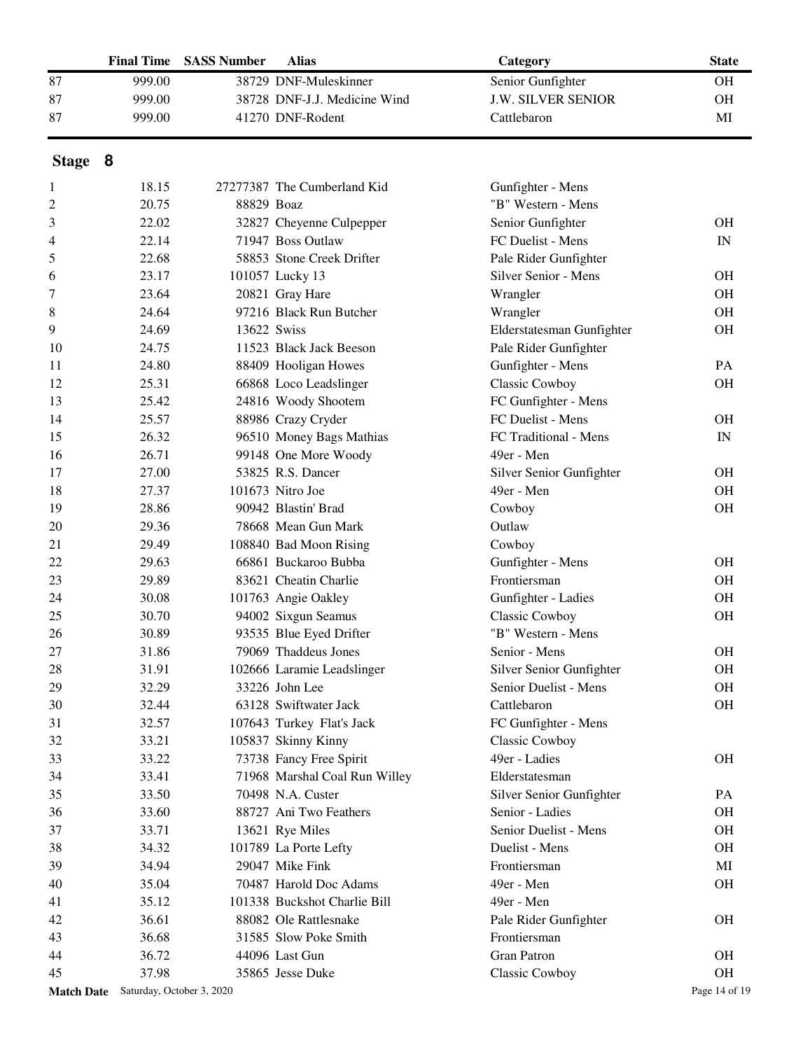|                   | <b>Final Time</b> | <b>SASS Number</b>        | <b>Alias</b>                  | Category                  | <b>State</b>             |
|-------------------|-------------------|---------------------------|-------------------------------|---------------------------|--------------------------|
| 87                | 999.00            |                           | 38729 DNF-Muleskinner         | Senior Gunfighter         | <b>OH</b>                |
| 87                | 999.00            |                           | 38728 DNF-J.J. Medicine Wind  | <b>J.W. SILVER SENIOR</b> | <b>OH</b>                |
| 87                | 999.00            |                           | 41270 DNF-Rodent              | Cattlebaron               | MI                       |
| Stage 8           |                   |                           |                               |                           |                          |
| 1                 | 18.15             |                           | 27277387 The Cumberland Kid   | Gunfighter - Mens         |                          |
| 2                 | 20.75             | 88829 Boaz                |                               | "B" Western - Mens        |                          |
| 3                 | 22.02             |                           | 32827 Cheyenne Culpepper      | Senior Gunfighter         | <b>OH</b>                |
| 4                 | 22.14             |                           | 71947 Boss Outlaw             | FC Duelist - Mens         | $\ensuremath{\text{IN}}$ |
| 5                 | 22.68             |                           | 58853 Stone Creek Drifter     | Pale Rider Gunfighter     |                          |
| 6                 | 23.17             |                           | 101057 Lucky 13               | Silver Senior - Mens      | <b>OH</b>                |
| 7                 | 23.64             |                           | 20821 Gray Hare               | Wrangler                  | <b>OH</b>                |
| 8                 | 24.64             |                           | 97216 Black Run Butcher       | Wrangler                  | <b>OH</b>                |
| 9                 | 24.69             |                           | 13622 Swiss                   | Elderstatesman Gunfighter | <b>OH</b>                |
| 10                | 24.75             |                           | 11523 Black Jack Beeson       | Pale Rider Gunfighter     |                          |
| 11                | 24.80             |                           | 88409 Hooligan Howes          | Gunfighter - Mens         | PA                       |
| 12                | 25.31             |                           | 66868 Loco Leadslinger        | Classic Cowboy            | <b>OH</b>                |
| 13                | 25.42             |                           | 24816 Woody Shootem           | FC Gunfighter - Mens      |                          |
| 14                | 25.57             |                           | 88986 Crazy Cryder            | FC Duelist - Mens         | <b>OH</b>                |
| 15                | 26.32             |                           | 96510 Money Bags Mathias      | FC Traditional - Mens     | $\ensuremath{\text{IN}}$ |
| 16                | 26.71             |                           | 99148 One More Woody          | 49er - Men                |                          |
| 17                | 27.00             |                           | 53825 R.S. Dancer             | Silver Senior Gunfighter  | <b>OH</b>                |
| 18                | 27.37             |                           | 101673 Nitro Joe              | 49er - Men                | OH                       |
| 19                | 28.86             |                           | 90942 Blastin' Brad           | Cowboy                    | <b>OH</b>                |
| 20                | 29.36             |                           | 78668 Mean Gun Mark           | Outlaw                    |                          |
| 21                | 29.49             |                           | 108840 Bad Moon Rising        | Cowboy                    |                          |
| 22                | 29.63             |                           | 66861 Buckaroo Bubba          | Gunfighter - Mens         | <b>OH</b>                |
| 23                | 29.89             |                           | 83621 Cheatin Charlie         | Frontiersman              | <b>OH</b>                |
| 24                | 30.08             |                           | 101763 Angie Oakley           | Gunfighter - Ladies       | <b>OH</b>                |
| 25                | 30.70             |                           | 94002 Sixgun Seamus           | Classic Cowboy            | <b>OH</b>                |
| 26                | 30.89             |                           | 93535 Blue Eyed Drifter       | "B" Western - Mens        |                          |
| 27                | 31.86             |                           | 79069 Thaddeus Jones          | Senior - Mens             | OH                       |
| 28                | 31.91             |                           | 102666 Laramie Leadslinger    | Silver Senior Gunfighter  | OH                       |
| 29                | 32.29             |                           | 33226 John Lee                | Senior Duelist - Mens     | OH                       |
| 30                | 32.44             |                           | 63128 Swiftwater Jack         | Cattlebaron               | OH                       |
| 31                | 32.57             |                           | 107643 Turkey Flat's Jack     | FC Gunfighter - Mens      |                          |
| 32                | 33.21             |                           | 105837 Skinny Kinny           | Classic Cowboy            |                          |
| 33                | 33.22             |                           | 73738 Fancy Free Spirit       | 49er - Ladies             | <b>OH</b>                |
| 34                | 33.41             |                           | 71968 Marshal Coal Run Willey | Elderstatesman            |                          |
| 35                | 33.50             |                           | 70498 N.A. Custer             | Silver Senior Gunfighter  | PA                       |
| 36                | 33.60             |                           | 88727 Ani Two Feathers        | Senior - Ladies           | OH                       |
| 37                | 33.71             |                           | 13621 Rye Miles               | Senior Duelist - Mens     | OH                       |
| 38                | 34.32             |                           | 101789 La Porte Lefty         | Duelist - Mens            | OH                       |
| 39                | 34.94             |                           | 29047 Mike Fink               | Frontiersman              | MI                       |
| 40                | 35.04             |                           | 70487 Harold Doc Adams        | 49er - Men                | OH                       |
| 41                | 35.12             |                           | 101338 Buckshot Charlie Bill  | 49er - Men                |                          |
| 42                | 36.61             |                           | 88082 Ole Rattlesnake         | Pale Rider Gunfighter     | OH                       |
| 43                | 36.68             |                           | 31585 Slow Poke Smith         | Frontiersman              |                          |
| 44                | 36.72             |                           | 44096 Last Gun                | <b>Gran Patron</b>        | <b>OH</b>                |
| 45                | 37.98             |                           | 35865 Jesse Duke              | Classic Cowboy            | OH                       |
| <b>Match Date</b> |                   | Saturday, October 3, 2020 |                               |                           | Page 14 of 19            |
|                   |                   |                           |                               |                           |                          |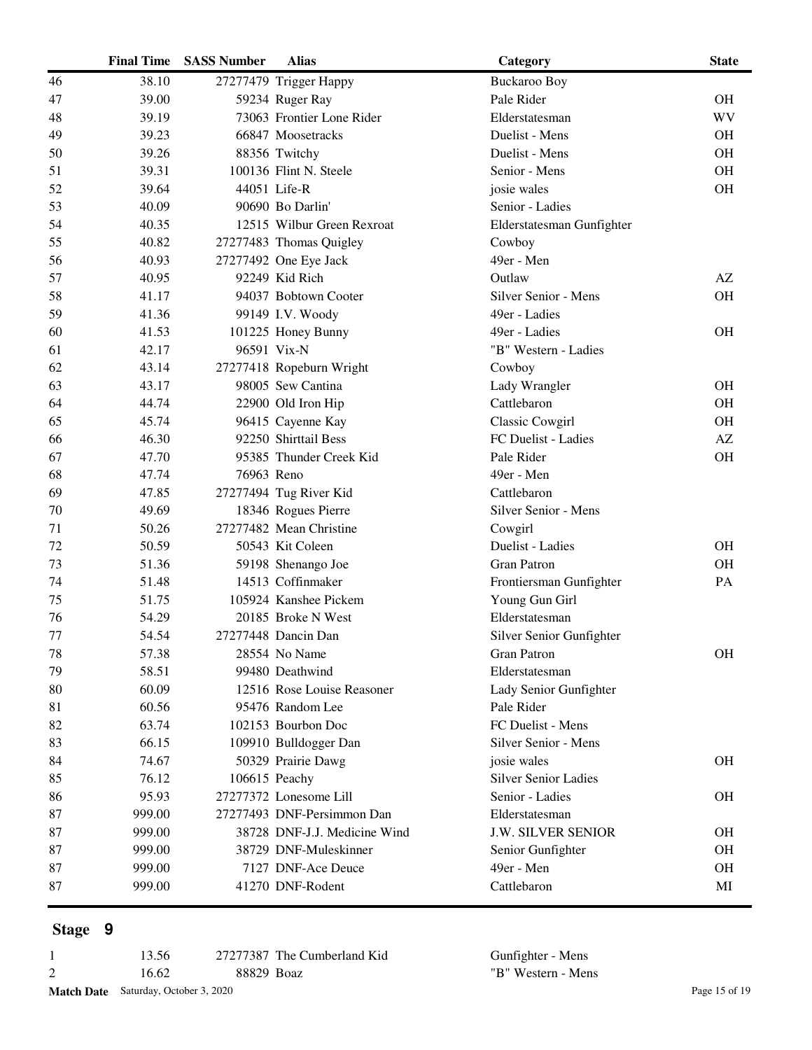|    | <b>Final Time</b> | <b>SASS Number</b> | <b>Alias</b>                 | Category                    | <b>State</b> |
|----|-------------------|--------------------|------------------------------|-----------------------------|--------------|
| 46 | 38.10             |                    | 27277479 Trigger Happy       | <b>Buckaroo Boy</b>         |              |
| 47 | 39.00             |                    | 59234 Ruger Ray              | Pale Rider                  | <b>OH</b>    |
| 48 | 39.19             |                    | 73063 Frontier Lone Rider    | Elderstatesman              | <b>WV</b>    |
| 49 | 39.23             |                    | 66847 Moosetracks            | Duelist - Mens              | <b>OH</b>    |
| 50 | 39.26             |                    | 88356 Twitchy                | Duelist - Mens              | <b>OH</b>    |
| 51 | 39.31             |                    | 100136 Flint N. Steele       | Senior - Mens               | OH           |
| 52 | 39.64             |                    | 44051 Life-R                 | josie wales                 | <b>OH</b>    |
| 53 | 40.09             |                    | 90690 Bo Darlin'             | Senior - Ladies             |              |
| 54 | 40.35             |                    | 12515 Wilbur Green Rexroat   | Elderstatesman Gunfighter   |              |
| 55 | 40.82             |                    | 27277483 Thomas Quigley      | Cowboy                      |              |
| 56 | 40.93             |                    | 27277492 One Eye Jack        | 49er - Men                  |              |
| 57 | 40.95             |                    | 92249 Kid Rich               | Outlaw                      | AZ           |
| 58 | 41.17             |                    | 94037 Bobtown Cooter         | Silver Senior - Mens        | <b>OH</b>    |
| 59 | 41.36             |                    | 99149 I.V. Woody             | 49er - Ladies               |              |
| 60 | 41.53             |                    | 101225 Honey Bunny           | 49er - Ladies               | <b>OH</b>    |
| 61 | 42.17             |                    | 96591 Vix-N                  | "B" Western - Ladies        |              |
| 62 | 43.14             |                    | 27277418 Ropeburn Wright     | Cowboy                      |              |
| 63 | 43.17             |                    | 98005 Sew Cantina            | Lady Wrangler               | <b>OH</b>    |
| 64 | 44.74             |                    | 22900 Old Iron Hip           | Cattlebaron                 | <b>OH</b>    |
| 65 | 45.74             |                    | 96415 Cayenne Kay            | <b>Classic Cowgirl</b>      | <b>OH</b>    |
| 66 | 46.30             |                    | 92250 Shirttail Bess         | FC Duelist - Ladies         | AZ           |
| 67 | 47.70             |                    | 95385 Thunder Creek Kid      | Pale Rider                  | OH           |
| 68 | 47.74             | 76963 Reno         |                              | 49er - Men                  |              |
| 69 | 47.85             |                    | 27277494 Tug River Kid       | Cattlebaron                 |              |
| 70 | 49.69             |                    | 18346 Rogues Pierre          | Silver Senior - Mens        |              |
| 71 | 50.26             |                    | 27277482 Mean Christine      | Cowgirl                     |              |
| 72 | 50.59             |                    | 50543 Kit Coleen             | Duelist - Ladies            | <b>OH</b>    |
| 73 | 51.36             |                    | 59198 Shenango Joe           | <b>Gran Patron</b>          | <b>OH</b>    |
| 74 | 51.48             |                    | 14513 Coffinmaker            | Frontiersman Gunfighter     | PA           |
| 75 | 51.75             |                    | 105924 Kanshee Pickem        | Young Gun Girl              |              |
| 76 | 54.29             |                    | 20185 Broke N West           | Elderstatesman              |              |
| 77 | 54.54             |                    | 27277448 Dancin Dan          | Silver Senior Gunfighter    |              |
| 78 | 57.38             |                    | 28554 No Name                | <b>Gran Patron</b>          | <b>OH</b>    |
| 79 | 58.51             |                    | 99480 Deathwind              | Elderstatesman              |              |
| 80 | 60.09             |                    | 12516 Rose Louise Reasoner   | Lady Senior Gunfighter      |              |
| 81 | 60.56             |                    | 95476 Random Lee             | Pale Rider                  |              |
| 82 | 63.74             |                    | 102153 Bourbon Doc           | FC Duelist - Mens           |              |
| 83 | 66.15             |                    | 109910 Bulldogger Dan        | Silver Senior - Mens        |              |
| 84 | 74.67             |                    | 50329 Prairie Dawg           | josie wales                 | <b>OH</b>    |
| 85 | 76.12             | 106615 Peachy      |                              | <b>Silver Senior Ladies</b> |              |
| 86 | 95.93             |                    | 27277372 Lonesome Lill       | Senior - Ladies             | <b>OH</b>    |
| 87 | 999.00            |                    | 27277493 DNF-Persimmon Dan   | Elderstatesman              |              |
| 87 | 999.00            |                    | 38728 DNF-J.J. Medicine Wind | <b>J.W. SILVER SENIOR</b>   | <b>OH</b>    |
| 87 | 999.00            |                    | 38729 DNF-Muleskinner        | Senior Gunfighter           | <b>OH</b>    |
| 87 | 999.00            |                    | 7127 DNF-Ace Deuce           | 49er - Men                  | <b>OH</b>    |
| 87 | 999.00            |                    | 41270 DNF-Rodent             | Cattlebaron                 | MI           |
|    |                   |                    |                              |                             |              |

| 13.56                                       |            | 27277387 The Cumberland Kid | Gunfighter - Mens  |               |
|---------------------------------------------|------------|-----------------------------|--------------------|---------------|
| 16.62                                       | 88829 Boaz |                             | "B" Western - Mens |               |
| <b>Match Date</b> Saturday, October 3, 2020 |            |                             |                    | Page 15 of 19 |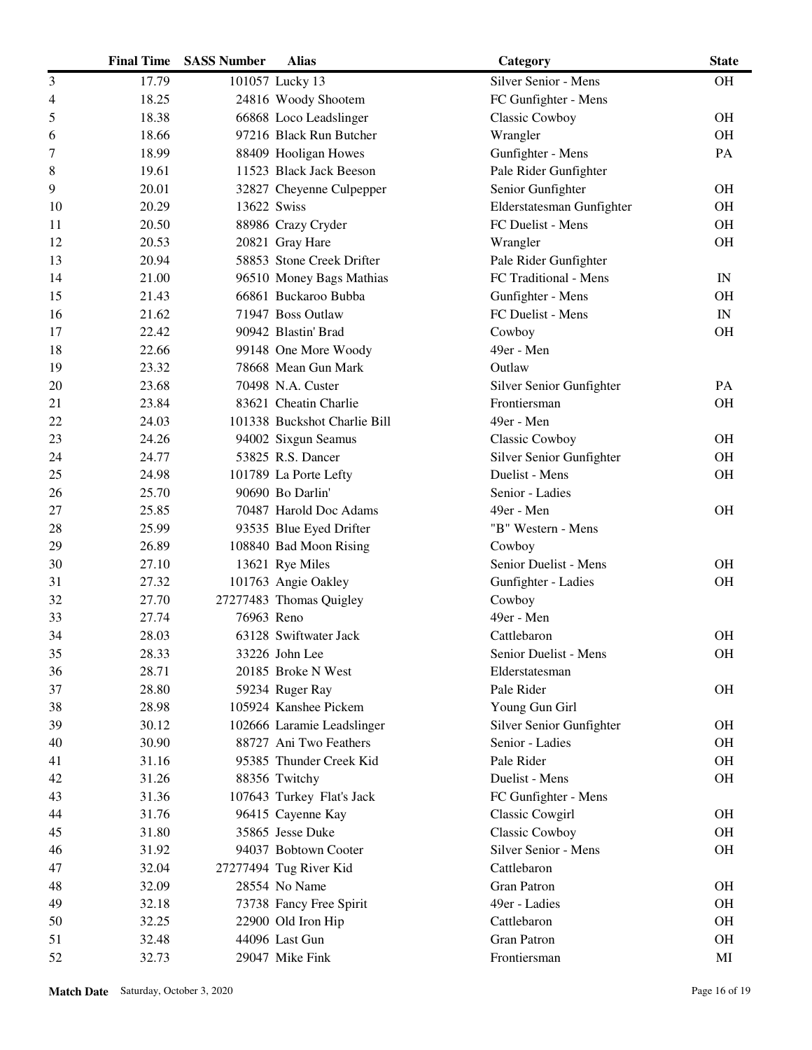|    | <b>Final Time</b> | <b>SASS Number</b> | <b>Alias</b>                 | Category                  | <b>State</b>             |
|----|-------------------|--------------------|------------------------------|---------------------------|--------------------------|
| 3  | 17.79             |                    | 101057 Lucky 13              | Silver Senior - Mens      | <b>OH</b>                |
| 4  | 18.25             |                    | 24816 Woody Shootem          | FC Gunfighter - Mens      |                          |
| 5  | 18.38             |                    | 66868 Loco Leadslinger       | Classic Cowboy            | <b>OH</b>                |
| 6  | 18.66             |                    | 97216 Black Run Butcher      | Wrangler                  | <b>OH</b>                |
| 7  | 18.99             |                    | 88409 Hooligan Howes         | Gunfighter - Mens         | PA                       |
| 8  | 19.61             |                    | 11523 Black Jack Beeson      | Pale Rider Gunfighter     |                          |
| 9  | 20.01             |                    | 32827 Cheyenne Culpepper     | Senior Gunfighter         | <b>OH</b>                |
| 10 | 20.29             | 13622 Swiss        |                              | Elderstatesman Gunfighter | <b>OH</b>                |
| 11 | 20.50             |                    | 88986 Crazy Cryder           | FC Duelist - Mens         | <b>OH</b>                |
| 12 | 20.53             |                    | 20821 Gray Hare              | Wrangler                  | OH                       |
| 13 | 20.94             |                    | 58853 Stone Creek Drifter    | Pale Rider Gunfighter     |                          |
| 14 | 21.00             |                    | 96510 Money Bags Mathias     | FC Traditional - Mens     | IN                       |
| 15 | 21.43             |                    | 66861 Buckaroo Bubba         | Gunfighter - Mens         | <b>OH</b>                |
| 16 | 21.62             |                    | 71947 Boss Outlaw            | FC Duelist - Mens         | $\ensuremath{\text{IN}}$ |
| 17 | 22.42             |                    | 90942 Blastin' Brad          | Cowboy                    | <b>OH</b>                |
| 18 | 22.66             |                    | 99148 One More Woody         | 49er - Men                |                          |
| 19 | 23.32             |                    | 78668 Mean Gun Mark          | Outlaw                    |                          |
| 20 | 23.68             |                    | 70498 N.A. Custer            | Silver Senior Gunfighter  | PA                       |
| 21 | 23.84             |                    | 83621 Cheatin Charlie        | Frontiersman              | <b>OH</b>                |
| 22 | 24.03             |                    | 101338 Buckshot Charlie Bill | 49er - Men                |                          |
| 23 | 24.26             |                    | 94002 Sixgun Seamus          | <b>Classic Cowboy</b>     | <b>OH</b>                |
| 24 | 24.77             |                    | 53825 R.S. Dancer            | Silver Senior Gunfighter  | <b>OH</b>                |
| 25 | 24.98             |                    | 101789 La Porte Lefty        | Duelist - Mens            | <b>OH</b>                |
| 26 | 25.70             |                    | 90690 Bo Darlin'             | Senior - Ladies           |                          |
| 27 | 25.85             |                    | 70487 Harold Doc Adams       | 49er - Men                | <b>OH</b>                |
| 28 | 25.99             |                    | 93535 Blue Eyed Drifter      | "B" Western - Mens        |                          |
| 29 | 26.89             |                    | 108840 Bad Moon Rising       | Cowboy                    |                          |
| 30 | 27.10             |                    | 13621 Rye Miles              | Senior Duelist - Mens     | <b>OH</b>                |
| 31 | 27.32             |                    | 101763 Angie Oakley          | Gunfighter - Ladies       | <b>OH</b>                |
| 32 | 27.70             |                    | 27277483 Thomas Quigley      | Cowboy                    |                          |
| 33 | 27.74             | 76963 Reno         |                              | 49er - Men                |                          |
| 34 | 28.03             |                    | 63128 Swiftwater Jack        | Cattlebaron               | <b>OH</b>                |
| 35 | 28.33             |                    | 33226 John Lee               | Senior Duelist - Mens     | OH                       |
| 36 | 28.71             |                    | 20185 Broke N West           | Elderstatesman            |                          |
| 37 | 28.80             |                    | 59234 Ruger Ray              | Pale Rider                | <b>OH</b>                |
| 38 | 28.98             |                    | 105924 Kanshee Pickem        | Young Gun Girl            |                          |
| 39 | 30.12             |                    | 102666 Laramie Leadslinger   | Silver Senior Gunfighter  | <b>OH</b>                |
| 40 | 30.90             |                    | 88727 Ani Two Feathers       | Senior - Ladies           | <b>OH</b>                |
| 41 | 31.16             |                    | 95385 Thunder Creek Kid      | Pale Rider                | <b>OH</b>                |
| 42 | 31.26             |                    | 88356 Twitchy                | Duelist - Mens            | <b>OH</b>                |
| 43 | 31.36             |                    | 107643 Turkey Flat's Jack    | FC Gunfighter - Mens      |                          |
| 44 | 31.76             |                    | 96415 Cayenne Kay            | <b>Classic Cowgirl</b>    | <b>OH</b>                |
| 45 | 31.80             |                    | 35865 Jesse Duke             | Classic Cowboy            | <b>OH</b>                |
| 46 | 31.92             |                    | 94037 Bobtown Cooter         | Silver Senior - Mens      | <b>OH</b>                |
| 47 | 32.04             |                    | 27277494 Tug River Kid       | Cattlebaron               |                          |
| 48 | 32.09             |                    | 28554 No Name                | <b>Gran Patron</b>        | <b>OH</b>                |
| 49 | 32.18             |                    | 73738 Fancy Free Spirit      | 49er - Ladies             | <b>OH</b>                |
| 50 | 32.25             |                    | 22900 Old Iron Hip           | Cattlebaron               | <b>OH</b>                |
| 51 | 32.48             |                    | 44096 Last Gun               | <b>Gran Patron</b>        | <b>OH</b>                |
| 52 | 32.73             |                    | 29047 Mike Fink              | Frontiersman              | MI                       |
|    |                   |                    |                              |                           |                          |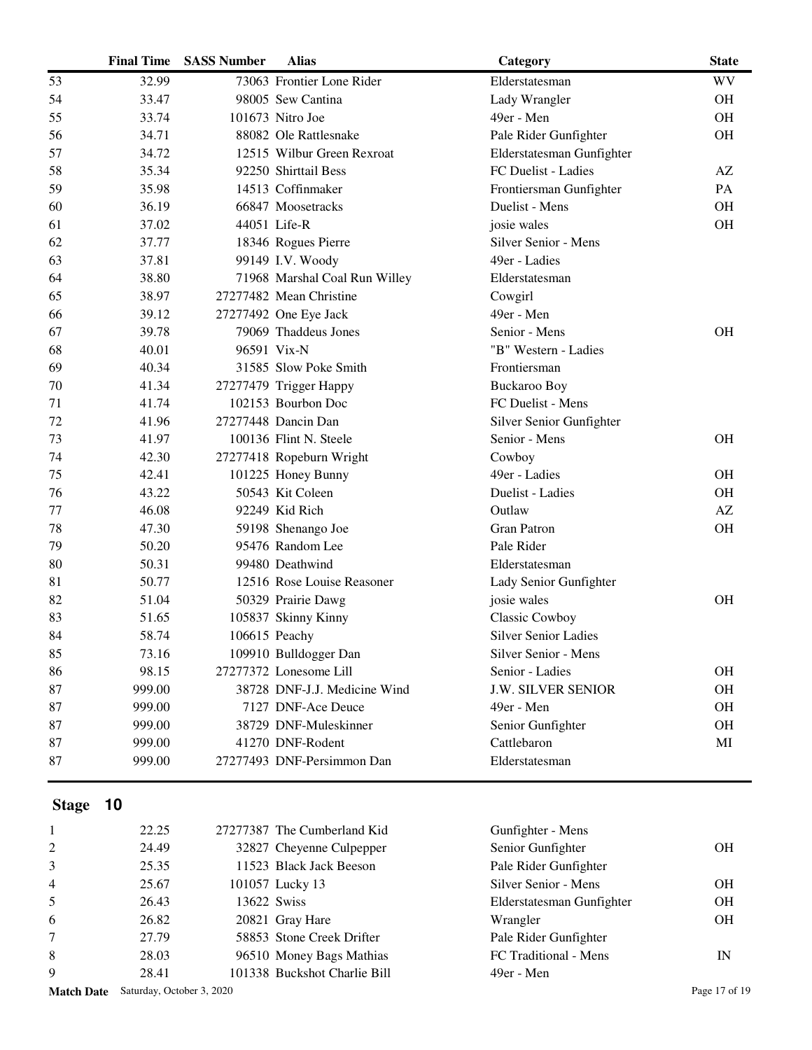|              | <b>Final Time</b> | <b>SASS Number</b> | <b>Alias</b>                  | Category                    | <b>State</b> |
|--------------|-------------------|--------------------|-------------------------------|-----------------------------|--------------|
| 53           | 32.99             |                    | 73063 Frontier Lone Rider     | Elderstatesman              | <b>WV</b>    |
| 54           | 33.47             |                    | 98005 Sew Cantina             | Lady Wrangler               | <b>OH</b>    |
| 55           | 33.74             |                    | 101673 Nitro Joe              | 49er - Men                  | <b>OH</b>    |
| 56           | 34.71             |                    | 88082 Ole Rattlesnake         | Pale Rider Gunfighter       | OH           |
| 57           | 34.72             |                    | 12515 Wilbur Green Rexroat    | Elderstatesman Gunfighter   |              |
| 58           | 35.34             |                    | 92250 Shirttail Bess          | FC Duelist - Ladies         | AZ           |
| 59           | 35.98             |                    | 14513 Coffinmaker             | Frontiersman Gunfighter     | PA           |
| 60           | 36.19             |                    | 66847 Moosetracks             | Duelist - Mens              | <b>OH</b>    |
| 61           | 37.02             |                    | 44051 Life-R                  | josie wales                 | <b>OH</b>    |
| 62           | 37.77             |                    | 18346 Rogues Pierre           | Silver Senior - Mens        |              |
| 63           | 37.81             |                    | 99149 I.V. Woody              | 49er - Ladies               |              |
| 64           | 38.80             |                    | 71968 Marshal Coal Run Willey | Elderstatesman              |              |
| 65           | 38.97             |                    | 27277482 Mean Christine       | Cowgirl                     |              |
| 66           | 39.12             |                    | 27277492 One Eye Jack         | 49er - Men                  |              |
| 67           | 39.78             |                    | 79069 Thaddeus Jones          | Senior - Mens               | <b>OH</b>    |
| 68           | 40.01             |                    | 96591 Vix-N                   | "B" Western - Ladies        |              |
| 69           | 40.34             |                    | 31585 Slow Poke Smith         | Frontiersman                |              |
| 70           | 41.34             |                    | 27277479 Trigger Happy        | Buckaroo Boy                |              |
| 71           | 41.74             |                    | 102153 Bourbon Doc            | FC Duelist - Mens           |              |
| 72           | 41.96             |                    | 27277448 Dancin Dan           | Silver Senior Gunfighter    |              |
| 73           | 41.97             |                    | 100136 Flint N. Steele        | Senior - Mens               | <b>OH</b>    |
| 74           | 42.30             |                    | 27277418 Ropeburn Wright      | Cowboy                      |              |
| 75           | 42.41             |                    | 101225 Honey Bunny            | 49er - Ladies               | <b>OH</b>    |
| 76           | 43.22             |                    | 50543 Kit Coleen              | Duelist - Ladies            | <b>OH</b>    |
| 77           | 46.08             |                    | 92249 Kid Rich                | Outlaw                      | AZ           |
| 78           | 47.30             |                    | 59198 Shenango Joe            | <b>Gran Patron</b>          | OH           |
| 79           | 50.20             |                    | 95476 Random Lee              | Pale Rider                  |              |
| 80           | 50.31             |                    | 99480 Deathwind               | Elderstatesman              |              |
| 81           | 50.77             |                    | 12516 Rose Louise Reasoner    | Lady Senior Gunfighter      |              |
| 82           | 51.04             |                    | 50329 Prairie Dawg            | josie wales                 | <b>OH</b>    |
| 83           | 51.65             |                    | 105837 Skinny Kinny           | Classic Cowboy              |              |
| 84           | 58.74             |                    | 106615 Peachy                 | <b>Silver Senior Ladies</b> |              |
| 85           | 73.16             |                    | 109910 Bulldogger Dan         | Silver Senior - Mens        |              |
| 86           | 98.15             |                    | 27277372 Lonesome Lill        | Senior - Ladies             | <b>OH</b>    |
| 87           | 999.00            |                    | 38728 DNF-J.J. Medicine Wind  | <b>J.W. SILVER SENIOR</b>   | <b>OH</b>    |
| 87           | 999.00            |                    | 7127 DNF-Ace Deuce            | 49er - Men                  | <b>OH</b>    |
| 87           | 999.00            |                    | 38729 DNF-Muleskinner         | Senior Gunfighter           | OH           |
| 87           | 999.00            |                    | 41270 DNF-Rodent              | Cattlebaron                 | MI           |
| 87           | 999.00            |                    | 27277493 DNF-Persimmon Dan    | Elderstatesman              |              |
|              |                   |                    |                               |                             |              |
|              |                   |                    |                               |                             |              |
| <b>Stage</b> | 10                |                    |                               |                             |              |
| 1            | 22.25             |                    | 27277387 The Cumberland Kid   | Gunfighter - Mens           |              |
| 2            | 24.49             |                    | 32827 Cheyenne Culpepper      | Senior Gunfighter           | <b>OH</b>    |
| 3            | 25.35             |                    | 11523 Black Jack Beeson       | Pale Rider Gunfighter       |              |
| 4            | 25.67             |                    | 101057 Lucky 13               | Silver Senior - Mens        | <b>OH</b>    |
| 5            | 26.43             | 13622 Swiss        |                               | Elderstatesman Gunfighter   | OH           |
| 6            | 26.82             |                    | 20821 Gray Hare               | Wrangler                    | <b>OH</b>    |
| 7            | 27.79             |                    | 58853 Stone Creek Drifter     | Pale Rider Gunfighter       |              |
| 8            | 28.03             |                    | 96510 Money Bags Mathias      | FC Traditional - Mens       | IN           |
| 9            | 28.41             |                    | 101338 Buckshot Charlie Bill  | 49er - Men                  |              |

Match Date Saturday, October 3, 2020 Page 17 of 19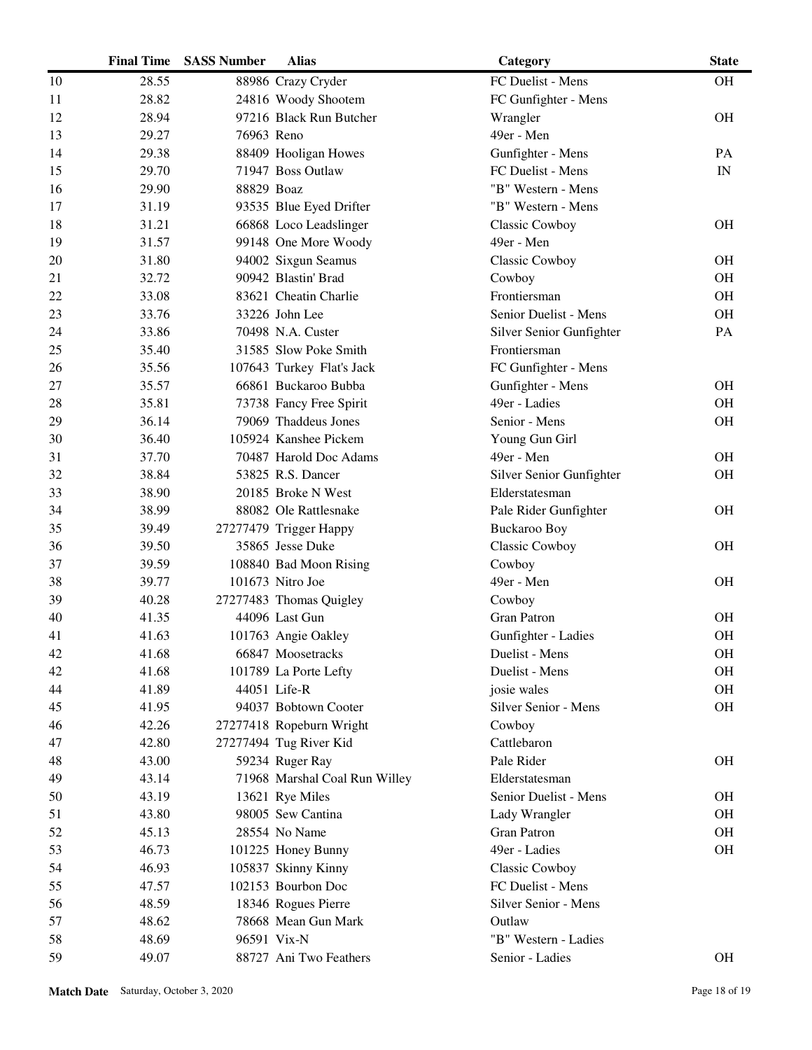|    | <b>Final Time</b> | <b>SASS Number</b> | <b>Alias</b>                  | Category                 | <b>State</b>             |
|----|-------------------|--------------------|-------------------------------|--------------------------|--------------------------|
| 10 | 28.55             |                    | 88986 Crazy Cryder            | FC Duelist - Mens        | <b>OH</b>                |
| 11 | 28.82             |                    | 24816 Woody Shootem           | FC Gunfighter - Mens     |                          |
| 12 | 28.94             |                    | 97216 Black Run Butcher       | Wrangler                 | <b>OH</b>                |
| 13 | 29.27             | 76963 Reno         |                               | 49er - Men               |                          |
| 14 | 29.38             |                    | 88409 Hooligan Howes          | Gunfighter - Mens        | PA                       |
| 15 | 29.70             |                    | 71947 Boss Outlaw             | FC Duelist - Mens        | $\ensuremath{\text{IN}}$ |
| 16 | 29.90             | 88829 Boaz         |                               | "B" Western - Mens       |                          |
| 17 | 31.19             |                    | 93535 Blue Eyed Drifter       | "B" Western - Mens       |                          |
| 18 | 31.21             |                    | 66868 Loco Leadslinger        | Classic Cowboy           | <b>OH</b>                |
| 19 | 31.57             |                    | 99148 One More Woody          | 49er - Men               |                          |
| 20 | 31.80             |                    | 94002 Sixgun Seamus           | Classic Cowboy           | <b>OH</b>                |
| 21 | 32.72             |                    | 90942 Blastin' Brad           | Cowboy                   | OH                       |
| 22 | 33.08             |                    | 83621 Cheatin Charlie         | Frontiersman             | <b>OH</b>                |
| 23 | 33.76             |                    | 33226 John Lee                | Senior Duelist - Mens    | OH                       |
| 24 | 33.86             |                    | 70498 N.A. Custer             | Silver Senior Gunfighter | PA                       |
| 25 | 35.40             |                    | 31585 Slow Poke Smith         | Frontiersman             |                          |
| 26 | 35.56             |                    | 107643 Turkey Flat's Jack     | FC Gunfighter - Mens     |                          |
| 27 | 35.57             |                    | 66861 Buckaroo Bubba          | Gunfighter - Mens        | <b>OH</b>                |
| 28 | 35.81             |                    | 73738 Fancy Free Spirit       | 49er - Ladies            | <b>OH</b>                |
| 29 | 36.14             |                    | 79069 Thaddeus Jones          | Senior - Mens            | <b>OH</b>                |
| 30 | 36.40             |                    | 105924 Kanshee Pickem         | Young Gun Girl           |                          |
| 31 | 37.70             |                    | 70487 Harold Doc Adams        | 49er - Men               | <b>OH</b>                |
| 32 | 38.84             |                    | 53825 R.S. Dancer             | Silver Senior Gunfighter | <b>OH</b>                |
| 33 | 38.90             |                    | 20185 Broke N West            | Elderstatesman           |                          |
| 34 | 38.99             |                    | 88082 Ole Rattlesnake         | Pale Rider Gunfighter    | <b>OH</b>                |
| 35 | 39.49             |                    | 27277479 Trigger Happy        | <b>Buckaroo Boy</b>      |                          |
| 36 | 39.50             |                    | 35865 Jesse Duke              | Classic Cowboy           | <b>OH</b>                |
| 37 | 39.59             |                    | 108840 Bad Moon Rising        | Cowboy                   |                          |
| 38 | 39.77             |                    | 101673 Nitro Joe              | 49er - Men               | <b>OH</b>                |
| 39 | 40.28             |                    | 27277483 Thomas Quigley       | Cowboy                   |                          |
| 40 | 41.35             |                    | 44096 Last Gun                | <b>Gran Patron</b>       | <b>OH</b>                |
| 41 | 41.63             |                    | 101763 Angie Oakley           | Gunfighter - Ladies      | <b>OH</b>                |
| 42 | 41.68             |                    | 66847 Moosetracks             | Duelist - Mens           | OH                       |
| 42 | 41.68             |                    | 101789 La Porte Lefty         | Duelist - Mens           | <b>OH</b>                |
| 44 | 41.89             |                    | 44051 Life-R                  | josie wales              | <b>OH</b>                |
| 45 | 41.95             |                    | 94037 Bobtown Cooter          | Silver Senior - Mens     | <b>OH</b>                |
| 46 | 42.26             |                    | 27277418 Ropeburn Wright      | Cowboy                   |                          |
| 47 | 42.80             |                    | 27277494 Tug River Kid        | Cattlebaron              |                          |
| 48 | 43.00             |                    | 59234 Ruger Ray               | Pale Rider               | <b>OH</b>                |
| 49 | 43.14             |                    | 71968 Marshal Coal Run Willey | Elderstatesman           |                          |
| 50 | 43.19             |                    | 13621 Rye Miles               | Senior Duelist - Mens    | <b>OH</b>                |
| 51 | 43.80             |                    | 98005 Sew Cantina             | Lady Wrangler            | OH                       |
| 52 | 45.13             |                    | 28554 No Name                 | <b>Gran Patron</b>       | <b>OH</b>                |
| 53 | 46.73             |                    | 101225 Honey Bunny            | 49er - Ladies            | <b>OH</b>                |
| 54 | 46.93             |                    | 105837 Skinny Kinny           | <b>Classic Cowboy</b>    |                          |
| 55 | 47.57             |                    | 102153 Bourbon Doc            | FC Duelist - Mens        |                          |
| 56 | 48.59             |                    | 18346 Rogues Pierre           | Silver Senior - Mens     |                          |
| 57 | 48.62             |                    | 78668 Mean Gun Mark           | Outlaw                   |                          |
| 58 | 48.69             | 96591 Vix-N        |                               | "B" Western - Ladies     |                          |
| 59 | 49.07             |                    | 88727 Ani Two Feathers        | Senior - Ladies          | <b>OH</b>                |